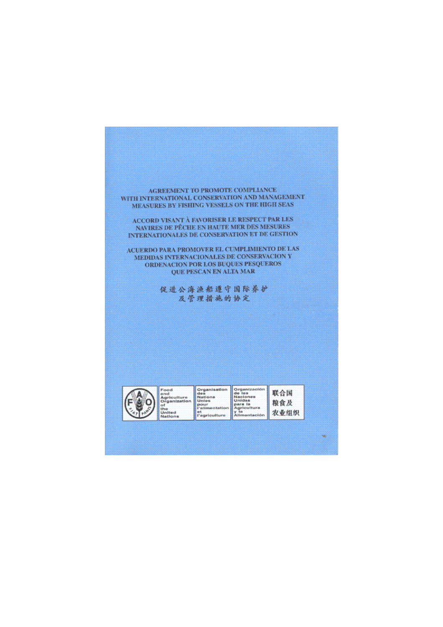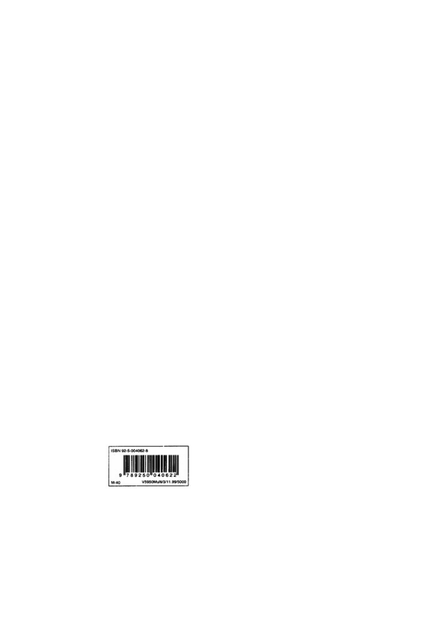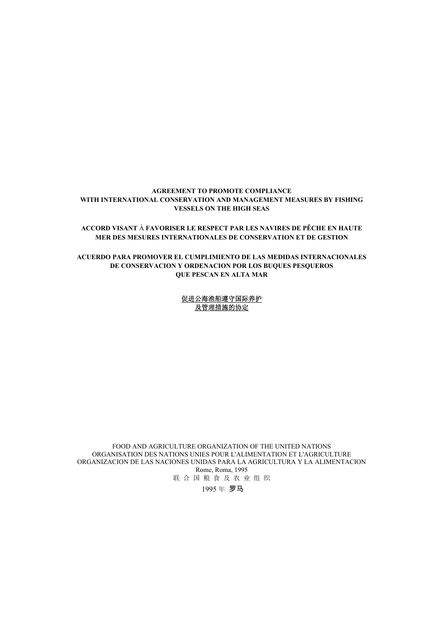# **AGREEMENT TO PROMOTE COMPLIANCE WITH INTERNATIONAL CONSERVATION AND MANAGEMENT MEASURES BY FISHING VESSELS ON THE HIGH SEAS**

**ACCORD VISANT** À **FAVORISER LE RESPECT PAR LES NAVIRES DE PÊCHE EN HAUTE MER DES MESURES INTERNATIONALES DE CONSERVATION ET DE GESTION** 

**ACUERDO PARA PROMOVER EL CUMPLIMIENTO DE LAS MEDIDAS INTERNACIONALES DE CONSERVACION Y ORDENACION POR LOS BUQUES PESQUEROS QUE PESCAN EN ALTA MAR** 

> <u>促进公海渔船遵守国际养护</u> <u>及管理措施的协定</u>

FOOD AND AGRICULTURE ORGANIZATION OF THE UNITED NATIONS ORGANISATION DES NATIONS UNIES POUR L'ALIMENTATION ET L'AGRICULTURE ORGANIZACION DE LAS NACIONES UNIDAS PARA LA AGRICULTURA Y LA ALIMENTACION Rome, Roma, 1995 联合国粮食及农业组织

1995年 罗马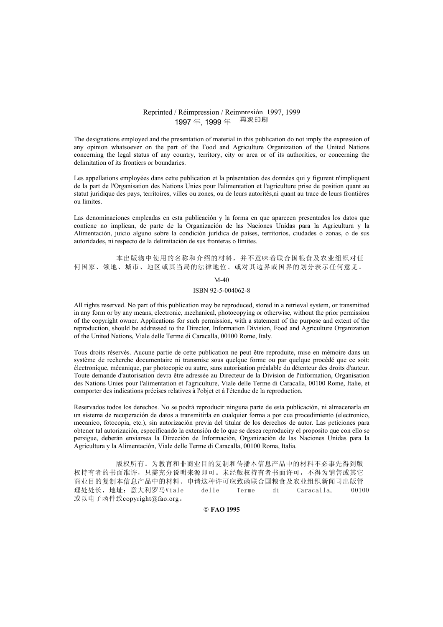# Reprinted / Réimpression / Reimpression 1997, 1999<br>1007年 1000 年 再次印刷 1997 年, 1999 年

The designations employed and the presentation of material in this publication do not imply the expression of any opinion whatsoever on the part of the Food and Agriculture Organization of the United Nations concerning the legal status of any country, territory, city or area or of its authorities, or concerning the delimitation of its frontiers or boundaries.

Les appellations employées dans cette publication et la présentation des données qui y figurent n'impliquent de la part de l'Organisation des Nations Unies pour l'alimentation et l'agriculture prise de position quant au statut juridique des pays, territoires, villes ou zones, ou de leurs autorités,ni quant au trace de leurs frontières ou limites.

Las denominaciones empleadas en esta publicación y la forma en que aparecen presentados los datos que contiene no implican, de parte de la Organización de las Naciones Unidas para la Agricultura y la Alimentación, juicio alguno sobre la condición jurídica de países, territorios, ciudades o zonas, o de sus autoridades, ni respecto de la delimitación de sus fronteras o límites.

本出版物中使用的名称和介绍的材料,并不意味着联合国粮食及农业组织对任 何国家、领地、城市、地区或其当局的法律地位、或对其边界或国界的划分表示任何意见。

M-40

ISBN 92-5-004062-8

All rights reserved. No part of this publication may be reproduced, stored in a retrieval system, or transmitted in any form or by any means, electronic, mechanical, photocopying or otherwise, without the prior permission of the copyright owner. Applications for such permission, with a statement of the purpose and extent of the reproduction, should be addressed to the Director, Information Division, Food and Agriculture Organization of the United Nations, Viale delle Terme di Caracalla, 00100 Rome, Italy.

Tous droits réservés. Aucune partie de cette publication ne peut être reproduite, mise en mémoire dans un système de recherche documentaire ni transmise sous quelque forme ou par quelque procédé que ce soit: électronique, mécanique, par photocopie ou autre, sans autorisation préalable du détenteur des droits d'auteur. Toute demande d'autorisation devra être adressée au Directeur de la Division de l'information, Organisation des Nations Unies pour l'alimentation et l'agriculture, Viale delle Terme di Caracalla, 00100 Rome, Italie, et comporter des indications précises relatives à l'objet et à l'étendue de la reproduction.

Reservados todos los derechos. No se podrá reproducir ninguna parte de esta publicación, ni almacenarla en un sistema de recuperación de datos a transmitirla en cualquier forma a por cua procedimiento (electronico, mecanico, fotocopia, etc.), sin autorización previa del titular de los derechos de autor. Las peticiones para obtener tal autorización, especificando la extensión de lo que se desea reproduciry el proposito que con ello se persigue, deberán enviarsea la Dirección de Información, Organización de las Naciones Unidas para la Agricultura y la Alimentación, Viale delle Terme di Caracalla, 00100 Roma, Italia.

版权所有。为教育和非商业目的复制和传播本信息产品中的材料不必事先得到版 权持有者的书面准许,只需充分说明来源即可。未经版权持有者书面许可,不得为销售或其它 商业目的复制本信息产品中的材料。申请这种许可应致函联合国粮食及农业组织新闻司出版管 理处处长, 地址: 意大利罗马Viale delle Terme di Caracalla, 00100 或以电子函件致copyright@fao.org。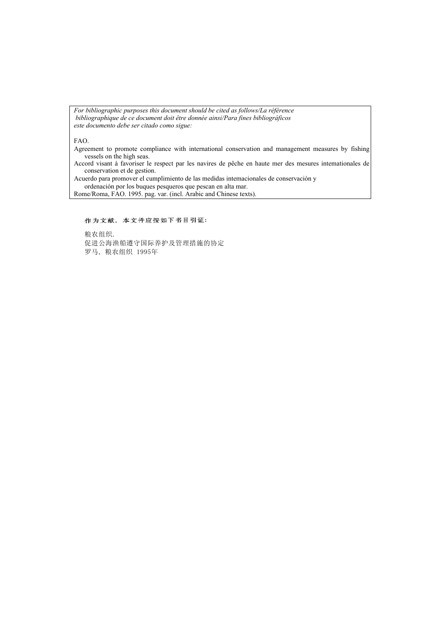*For bibliographic purposes this document should be cited as follows/La référence bibliographique de ce document doit être donnée ainsi/Para fines bibliográficos este documento debe ser citado como sigue:* 

## FAO.

Agreement to promote compliance with international conservation and management measures by fishing vessels on the high seas.

Accord visant à favoriser le respect par les navires de pêche en haute mer des mesures intemationales de conservation et de gestion.

Acuerdo para promover el cumplimiento de las medidas intemacionales de conservación y ordenación por los buques pesqueros que pescan en alta mar. Rome/Roma, FAO. 1995. pag. var. (incl. Arabic and Chinese texts).

# 作为文献,本文件应按如下书目引证:

粮农组织. 促进公海渔船遵守国际养护及管理措施的协定 罗马, 粮农组织 1995年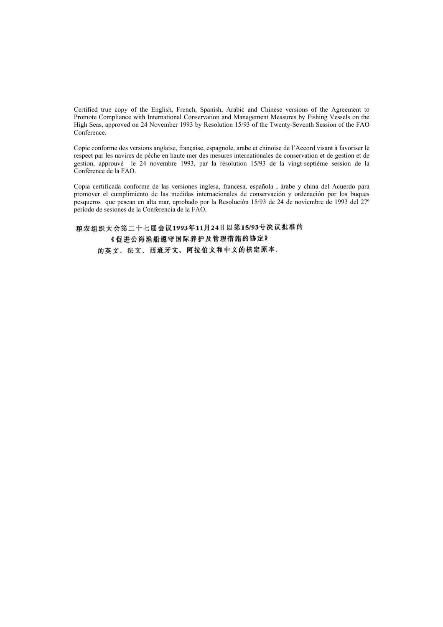Certified true copy of the English, French, Spanish, Arabic and Chinese versions of the Agreement to Promote Compliance with International Conservation and Management Measures by Fishing Vessels on the High Seas, approved on 24 November 1993 by Resolution 15/93 of the Twenty-Seventh Session of the FAO Conference.

Copie conforme des versions anglaise, française, espagnole, arabe et chinoise de l'Accord visant à favoriser le respect par les navires de pêche en haute mer des mesures internationales de conservation et de gestion et de gestion, approuvé le 24 novembre 1993, par la résolution 15/93 de la vingt-septième session de la Conférence de la FAO.

Copia certificada conforme de las versiones inglesa, francesa, española , árabe y china del Acuerdo para promover el cumplimiento de las medidas internacionales de conservación y ordenación por los buques pesqueros que pescan en alta mar, aprobado por la Resolución 15/93 de 24 de noviembre de 1993 del 27º período de sesiones de la Conferencia de la FAO.

粮农组织大会第二十七届会议1993年11月24日以第15/93号决议批准的 《促进公海渔船遵守国际养护及管理措施的协定》 的英文、法文、西班牙文、阿拉伯文和中文的核定原本.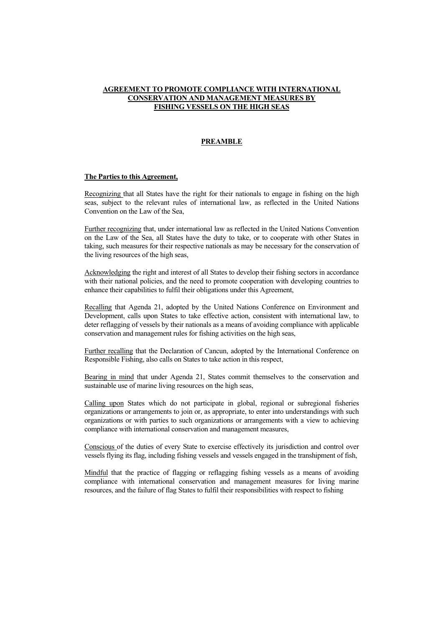# **AGREEMENT TO PROMOTE COMPLIANCE WITH INTERNATIONAL CONSERVATION AND MANAGEMENT MEASURES BY FISHING VESSELS ON THE HIGH SEAS**

## **PREAMBLE**

### **The Parties to this Agreement,**

Recognizing that all States have the right for their nationals to engage in fishing on the high seas, subject to the relevant rules of international law, as reflected in the United Nations Convention on the Law of the Sea,

Further recognizing that, under international law as reflected in the United Nations Convention on the Law of the Sea, all States have the duty to take, or to cooperate with other States in taking, such measures for their respective nationals as may be necessary for the conservation of the living resources of the high seas,

Acknowledging the right and interest of all States to develop their fishing sectors in accordance with their national policies, and the need to promote cooperation with developing countries to enhance their capabilities to fulfil their obligations under this Agreement,

Recalling that Agenda 21, adopted by the United Nations Conference on Environment and Development, calls upon States to take effective action, consistent with international law, to deter reflagging of vessels by their nationals as a means of avoiding compliance with applicable conservation and management rules for fishing activities on the high seas,

Further recalling that the Declaration of Cancun, adopted by the International Conference on Responsible Fishing, also calls on States to take action in this respect,

Bearing in mind that under Agenda 21, States commit themselves to the conservation and sustainable use of marine living resources on the high seas,

Calling upon States which do not participate in global, regional or subregional fisheries organizations or arrangements to join or, as appropriate, to enter into understandings with such organizations or with parties to such organizations or arrangements with a view to achieving compliance with international conservation and management measures,

Conscious of the duties of every State to exercise effectively its jurisdiction and control over vessels flying its flag, including fishing vessels and vessels engaged in the transhipment of fish,

Mindful that the practice of flagging or reflagging fishing vessels as a means of avoiding compliance with international conservation and management measures for living marine resources, and the failure of flag States to fulfil their responsibilities with respect to fishing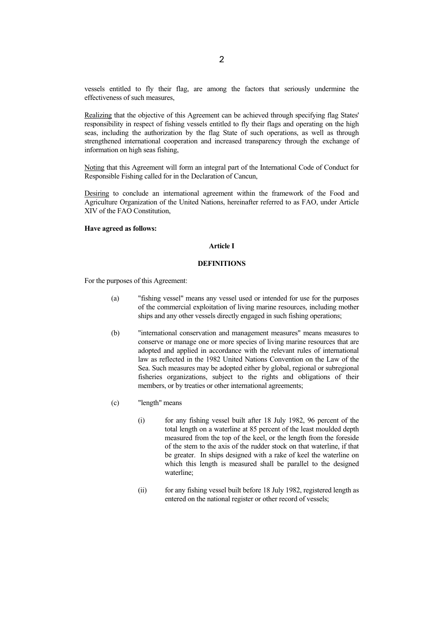vessels entitled to fly their flag, are among the factors that seriously undermine the effectiveness of such measures,

Realizing that the objective of this Agreement can be achieved through specifying flag States' responsibility in respect of fishing vessels entitled to fly their flags and operating on the high seas, including the authorization by the flag State of such operations, as well as through strengthened international cooperation and increased transparency through the exchange of information on high seas fishing,

Noting that this Agreement will form an integral part of the International Code of Conduct for Responsible Fishing called for in the Declaration of Cancun,

Desiring to conclude an international agreement within the framework of the Food and Agriculture Organization of the United Nations, hereinafter referred to as FAO, under Article XIV of the FAO Constitution,

#### **Have agreed as follows:**

#### **Article I**

### **DEFINITIONS**

For the purposes of this Agreement:

- (a) "fishing vessel" means any vessel used or intended for use for the purposes of the commercial exploitation of living marine resources, including mother ships and any other vessels directly engaged in such fishing operations;
- (b) "international conservation and management measures" means measures to conserve or manage one or more species of living marine resources that are adopted and applied in accordance with the relevant rules of international law as reflected in the 1982 United Nations Convention on the Law of the Sea. Such measures may be adopted either by global, regional or subregional fisheries organizations, subject to the rights and obligations of their members, or by treaties or other international agreements;
- (c) "length" means
	- (i) for any fishing vessel built after 18 July 1982, 96 percent of the total length on a waterline at 85 percent of the least moulded depth measured from the top of the keel, or the length from the foreside of the stem to the axis of the rudder stock on that waterline, if that be greater. In ships designed with a rake of keel the waterline on which this length is measured shall be parallel to the designed waterline;
	- (ii) for any fishing vessel built before 18 July 1982, registered length as entered on the national register or other record of vessels;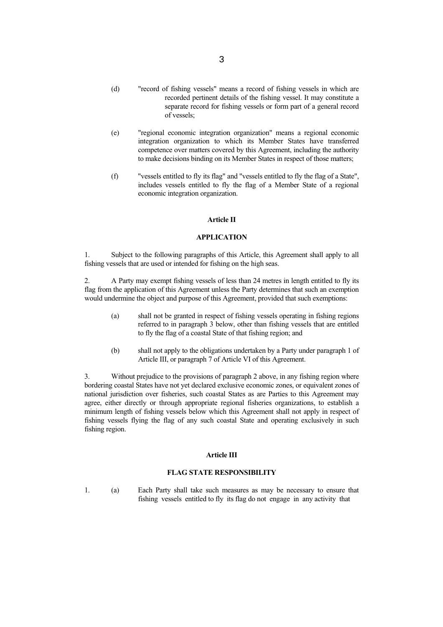- (d) "record of fishing vessels" means a record of fishing vessels in which are recorded pertinent details of the fishing vessel. It may constitute a separate record for fishing vessels or form part of a general record of vessels;
- (e) "regional economic integration organization" means a regional economic integration organization to which its Member States have transferred competence over matters covered by this Agreement, including the authority to make decisions binding on its Member States in respect of those matters;
- (f) "vessels entitled to fly its flag" and "vessels entitled to fly the flag of a State", includes vessels entitled to fly the flag of a Member State of a regional economic integration organization.

## **Article II**

### **APPLICATION**

1. Subject to the following paragraphs of this Article, this Agreement shall apply to all fishing vessels that are used or intended for fishing on the high seas.

2. A Party may exempt fishing vessels of less than 24 metres in length entitled to fly its flag from the application of this Agreement unless the Party determines that such an exemption would undermine the object and purpose of this Agreement, provided that such exemptions:

- (a) shall not be granted in respect of fishing vessels operating in fishing regions referred to in paragraph 3 below, other than fishing vessels that are entitled to fly the flag of a coastal State of that fishing region; and
- (b) shall not apply to the obligations undertaken by a Party under paragraph 1 of Article III, or paragraph 7 of Article VI of this Agreement.

3. Without prejudice to the provisions of paragraph 2 above, in any fishing region where bordering coastal States have not yet declared exclusive economic zones, or equivalent zones of national jurisdiction over fisheries, such coastal States as are Parties to this Agreement may agree, either directly or through appropriate regional fisheries organizations, to establish a minimum length of fishing vessels below which this Agreement shall not apply in respect of fishing vessels flying the flag of any such coastal State and operating exclusively in such fishing region.

### **Article III**

# **FLAG STATE RESPONSIBILITY**

1. (a) Each Party shall take such measures as may be necessary to ensure that fishing vessels entitled to fly its flag do not engage in any activity that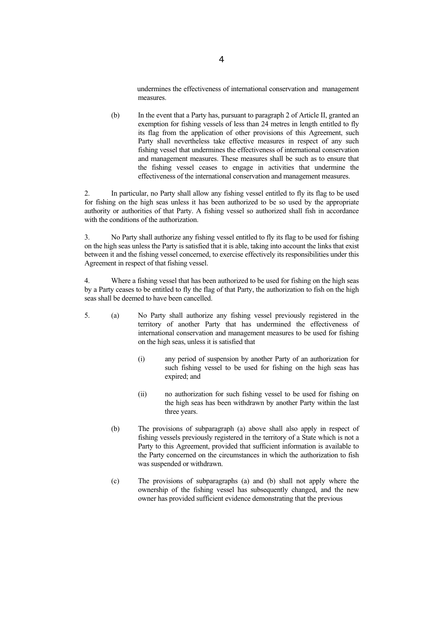undermines the effectiveness of international conservation and management measures.

 (b) In the event that a Party has, pursuant to paragraph 2 of Article II, granted an exemption for fishing vessels of less than 24 metres in length entitled to fly its flag from the application of other provisions of this Agreement, such Party shall nevertheless take effective measures in respect of any such fishing vessel that undermines the effectiveness of international conservation and management measures. These measures shall be such as to ensure that the fishing vessel ceases to engage in activities that undermine the effectiveness of the international conservation and management measures.

2. In particular, no Party shall allow any fishing vessel entitled to fly its flag to be used for fishing on the high seas unless it has been authorized to be so used by the appropriate authority or authorities of that Party. A fishing vessel so authorized shall fish in accordance with the conditions of the authorization.

3. No Party shall authorize any fishing vessel entitled to fly its flag to be used for fishing on the high seas unless the Party is satisfied that it is able, taking into account the links that exist between it and the fishing vessel concerned, to exercise effectively its responsibilities under this Agreement in respect of that fishing vessel.

4. Where a fishing vessel that has been authorized to be used for fishing on the high seas by a Party ceases to be entitled to fly the flag of that Party, the authorization to fish on the high seas shall be deemed to have been cancelled.

- 5. (a) No Party shall authorize any fishing vessel previously registered in the territory of another Party that has undermined the effectiveness of international conservation and management measures to be used for fishing on the high seas, unless it is satisfied that
	- (i) any period of suspension by another Party of an authorization for such fishing vessel to be used for fishing on the high seas has expired; and
	- (ii) no authorization for such fishing vessel to be used for fishing on the high seas has been withdrawn by another Party within the last three years.
	- (b) The provisions of subparagraph (a) above shall also apply in respect of fishing vessels previously registered in the territory of a State which is not a Party to this Agreement, provided that sufficient information is available to the Party concerned on the circumstances in which the authorization to fish was suspended or withdrawn.
	- (c) The provisions of subparagraphs (a) and (b) shall not apply where the ownership of the fishing vessel has subsequently changed, and the new owner has provided sufficient evidence demonstrating that the previous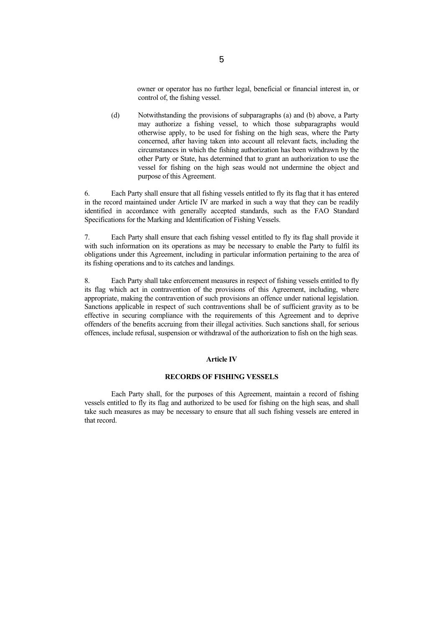owner or operator has no further legal, beneficial or financial interest in, or control of, the fishing vessel.

 (d) Notwithstanding the provisions of subparagraphs (a) and (b) above, a Party may authorize a fishing vessel, to which those subparagraphs would otherwise apply, to be used for fishing on the high seas, where the Party concerned, after having taken into account all relevant facts, including the circumstances in which the fishing authorization has been withdrawn by the other Party or State, has determined that to grant an authorization to use the vessel for fishing on the high seas would not undermine the object and purpose of this Agreement.

6. Each Party shall ensure that all fishing vessels entitled to fly its flag that it has entered in the record maintained under Article IV are marked in such a way that they can be readily identified in accordance with generally accepted standards, such as the FAO Standard Specifications for the Marking and Identification of Fishing Vessels.

7. Each Party shall ensure that each fishing vessel entitled to fly its flag shall provide it with such information on its operations as may be necessary to enable the Party to fulfil its obligations under this Agreement, including in particular information pertaining to the area of its fishing operations and to its catches and landings.

8. Each Party shall take enforcement measures in respect of fishing vessels entitled to fly its flag which act in contravention of the provisions of this Agreement, including, where appropriate, making the contravention of such provisions an offence under national legislation. Sanctions applicable in respect of such contraventions shall be of sufficient gravity as to be effective in securing compliance with the requirements of this Agreement and to deprive offenders of the benefits accruing from their illegal activities. Such sanctions shall, for serious offences, include refusal, suspension or withdrawal of the authorization to fish on the high seas.

#### **Article IV**

## **RECORDS OF FISHING VESSELS**

 Each Party shall, for the purposes of this Agreement, maintain a record of fishing vessels entitled to fly its flag and authorized to be used for fishing on the high seas, and shall take such measures as may be necessary to ensure that all such fishing vessels are entered in that record.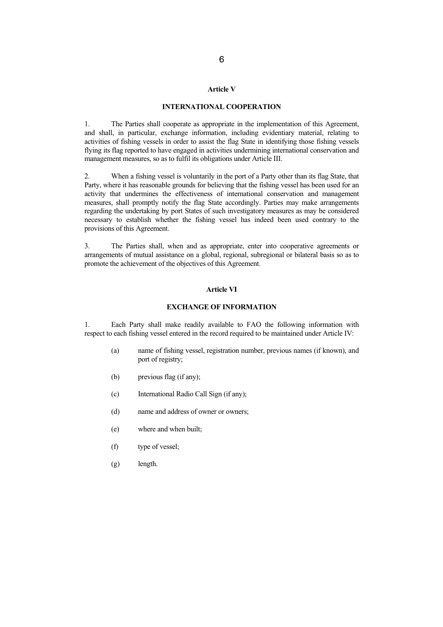## **Article V**

#### **INTERNATIONAL COOPERATION**

1. The Parties shall cooperate as appropriate in the implementation of this Agreement, and shall, in particular, exchange information, including evidentiary material, relating to activities of fishing vessels in order to assist the flag State in identifying those fishing vessels flying its flag reported to have engaged in activities undermining international conservation and management measures, so as to fulfil its obligations under Article III.

2. When a fishing vessel is voluntarily in the port of a Party other than its flag State, that Party, where it has reasonable grounds for believing that the fishing vessel has been used for an activity that undermines the effectiveness of international conservation and management measures, shall promptly notify the flag State accordingly. Parties may make arrangements regarding the undertaking by port States of such investigatory measures as may be considered necessary to establish whether the fishing vessel has indeed been used contrary to the provisions of this Agreement.

3. The Parties shall, when and as appropriate, enter into cooperative agreements or arrangements of mutual assistance on a global, regional, subregional or bilateral basis so as to promote the achievement of the objectives of this Agreement.

# **Article VI**

## **EXCHANGE OF INFORMATION**

1. Each Party shall make readily available to FAO the following information with respect to each fishing vessel entered in the record required to be maintained under Article IV:

- (a) name of fishing vessel, registration number, previous names (if known), and port of registry;
- (b) previous flag (if any);
- (c) International Radio Call Sign (if any);
- (d) name and address of owner or owners;
- (e) where and when built;
- (f) type of vessel;
- (g) length.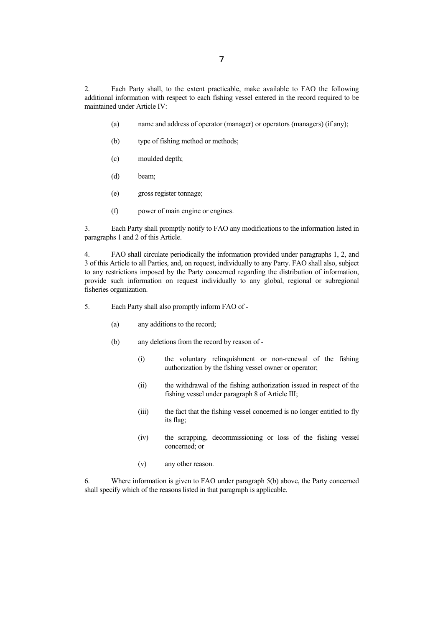2. Each Party shall, to the extent practicable, make available to FAO the following additional information with respect to each fishing vessel entered in the record required to be maintained under Article IV:

- (a) name and address of operator (manager) or operators (managers) (if any);
- (b) type of fishing method or methods;
- (c) moulded depth;
- (d) beam;
- (e) gross register tonnage;
- (f) power of main engine or engines.

3. Each Party shall promptly notify to FAO any modifications to the information listed in paragraphs 1 and 2 of this Article.

4. FAO shall circulate periodically the information provided under paragraphs 1, 2, and 3 of this Article to all Parties, and, on request, individually to any Party. FAO shall also, subject to any restrictions imposed by the Party concerned regarding the distribution of information, provide such information on request individually to any global, regional or subregional fisheries organization.

- 5. Each Party shall also promptly inform FAO of
	- (a) any additions to the record;
	- (b) any deletions from the record by reason of
		- (i) the voluntary relinquishment or non-renewal of the fishing authorization by the fishing vessel owner or operator;
		- (ii) the withdrawal of the fishing authorization issued in respect of the fishing vessel under paragraph 8 of Article III;
		- (iii) the fact that the fishing vessel concerned is no longer entitled to fly its flag;
		- (iv) the scrapping, decommissioning or loss of the fishing vessel concerned; or
		- (v) any other reason.

6. Where information is given to FAO under paragraph 5(b) above, the Party concerned shall specify which of the reasons listed in that paragraph is applicable.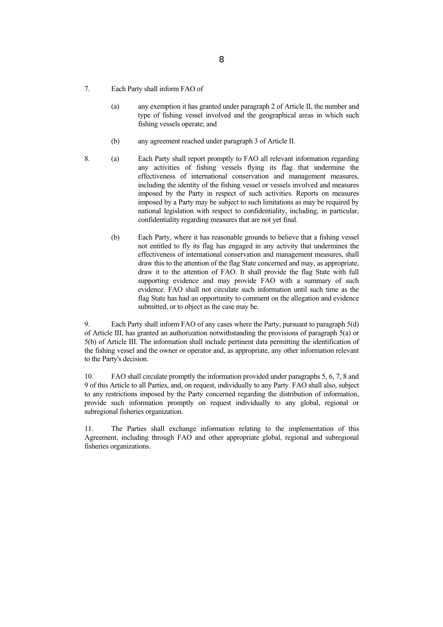- 7. Each Party shall inform FAO of
	- (a) any exemption it has granted under paragraph 2 of Article II, the number and type of fishing vessel involved and the geographical areas in which such fishing vessels operate; and
	- (b) any agreement reached under paragraph 3 of Article II.
- 8. (a) Each Party shall report promptly to FAO all relevant information regarding any activities of fishing vessels flying its flag that undermine the effectiveness of international conservation and management measures, including the identity of the fishing vessel or vessels involved and measures imposed by the Party in respect of such activities. Reports on measures imposed by a Party may be subject to such limitations as may be required by national legislation with respect to confidentiality, including, in particular, confidentiality regarding measures that are not yet final.
	- (b) Each Party, where it has reasonable grounds to believe that a fishing vessel not entitled to fly its flag has engaged in any activity that undermines the effectiveness of international conservation and management measures, shall draw this to the attention of the flag State concerned and may, as appropriate, draw it to the attention of FAO. It shall provide the flag State with full supporting evidence and may provide FAO with a summary of such evidence. FAO shall not circulate such information until such time as the flag State has had an opportunity to comment on the allegation and evidence submitted, or to object as the case may be.

9. Each Party shall inform FAO of any cases where the Party, pursuant to paragraph 5(d) of Article III, has granted an authorization notwithstanding the provisions of paragraph 5(a) or 5(b) of Article III. The information shall include pertinent data permitting the identification of the fishing vessel and the owner or operator and, as appropriate, any other information relevant to the Party's decision.

10. FAO shall circulate promptly the information provided under paragraphs 5, 6, 7, 8 and 9 of this Article to all Parties, and, on request, individually to any Party. FAO shall also, subject to any restrictions imposed by the Party concerned regarding the distribution of information, provide such information promptly on request individually to any global, regional or subregional fisheries organization.

11. The Parties shall exchange information relating to the implementation of this Agreement, including through FAO and other appropriate global, regional and subregional fisheries organizations.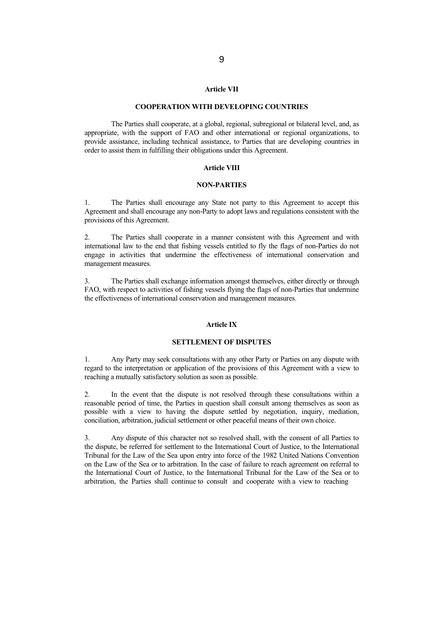## **Article VII**

### **COOPERATION WITH DEVELOPING COUNTRIES**

 The Parties shall cooperate, at a global, regional, subregional or bilateral level, and, as appropriate, with the support of FAO and other international or regional organizations, to provide assistance, including technical assistance, to Parties that are developing countries in order to assist them in fulfilling their obligations under this Agreement.

## **Article VIII**

# **NON-PARTIES**

1. The Parties shall encourage any State not party to this Agreement to accept this Agreement and shall encourage any non-Party to adopt laws and regulations consistent with the provisions of this Agreement.

2. The Parties shall cooperate in a manner consistent with this Agreement and with international law to the end that fishing vessels entitled to fly the flags of non-Parties do not engage in activities that undermine the effectiveness of international conservation and management measures.

3. The Parties shall exchange information amongst themselves, either directly or through FAO, with respect to activities of fishing vessels flying the flags of non-Parties that undermine the effectiveness of international conservation and management measures.

# **Article IX**

# **SETTLEMENT OF DISPUTES**

1. Any Party may seek consultations with any other Party or Parties on any dispute with regard to the interpretation or application of the provisions of this Agreement with a view to reaching a mutually satisfactory solution as soon as possible.

2. In the event that the dispute is not resolved through these consultations within a reasonable period of time, the Parties in question shall consult among themselves as soon as possible with a view to having the dispute settled by negotiation, inquiry, mediation, conciliation, arbitration, judicial settlement or other peaceful means of their own choice.

3. Any dispute of this character not so resolved shall, with the consent of all Parties to the dispute, be referred for settlement to the International Court of Justice, to the International Tribunal for the Law of the Sea upon entry into force of the 1982 United Nations Convention on the Law of the Sea or to arbitration. In the case of failure to reach agreement on referral to the International Court of Justice, to the International Tribunal for the Law of the Sea or to arbitration, the Parties shall continue to consult and cooperate with a view to reaching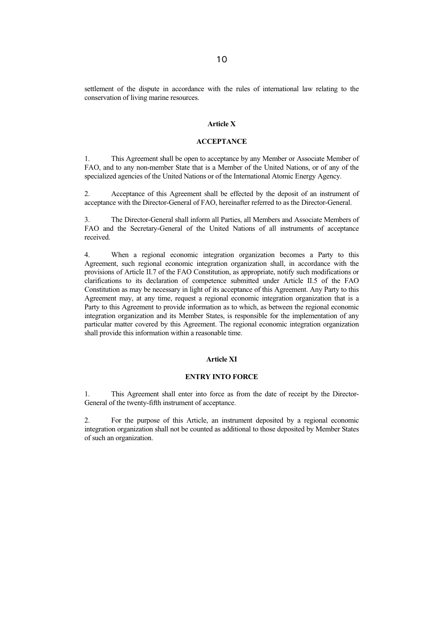settlement of the dispute in accordance with the rules of international law relating to the conservation of living marine resources.

# **Article X**

# **ACCEPTANCE**

1. This Agreement shall be open to acceptance by any Member or Associate Member of FAO, and to any non-member State that is a Member of the United Nations, or of any of the specialized agencies of the United Nations or of the International Atomic Energy Agency.

2. Acceptance of this Agreement shall be effected by the deposit of an instrument of acceptance with the Director-General of FAO, hereinafter referred to as the Director-General.

3. The Director-General shall inform all Parties, all Members and Associate Members of FAO and the Secretary-General of the United Nations of all instruments of acceptance received.

4. When a regional economic integration organization becomes a Party to this Agreement, such regional economic integration organization shall, in accordance with the provisions of Article II.7 of the FAO Constitution, as appropriate, notify such modifications or clarifications to its declaration of competence submitted under Article II.5 of the FAO Constitution as may be necessary in light of its acceptance of this Agreement. Any Party to this Agreement may, at any time, request a regional economic integration organization that is a Party to this Agreement to provide information as to which, as between the regional economic integration organization and its Member States, is responsible for the implementation of any particular matter covered by this Agreement. The regional economic integration organization shall provide this information within a reasonable time.

#### **Article XI**

## **ENTRY INTO FORCE**

1. This Agreement shall enter into force as from the date of receipt by the Director-General of the twenty-fifth instrument of acceptance.

2. For the purpose of this Article, an instrument deposited by a regional economic integration organization shall not be counted as additional to those deposited by Member States of such an organization.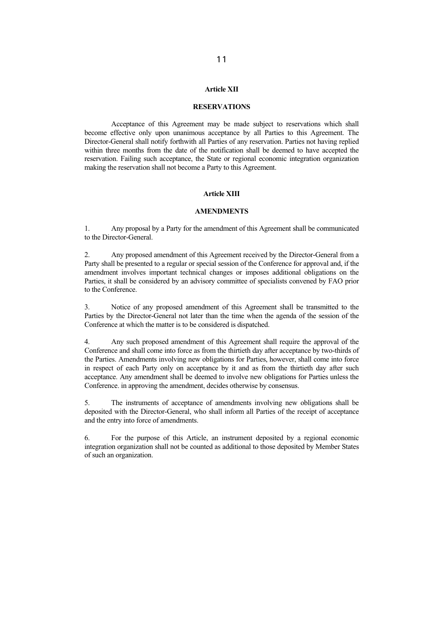## **Article XII**

#### **RESERVATIONS**

 Acceptance of this Agreement may be made subject to reservations which shall become effective only upon unanimous acceptance by all Parties to this Agreement. The Director-General shall notify forthwith all Parties of any reservation. Parties not having replied within three months from the date of the notification shall be deemed to have accepted the reservation. Failing such acceptance, the State or regional economic integration organization making the reservation shall not become a Party to this Agreement.

## **Article XIII**

## **AMENDMENTS**

1. Any proposal by a Party for the amendment of this Agreement shall be communicated to the Director-General.

2. Any proposed amendment of this Agreement received by the Director-General from a Party shall be presented to a regular or special session of the Conference for approval and, if the amendment involves important technical changes or imposes additional obligations on the Parties, it shall be considered by an advisory committee of specialists convened by FAO prior to the Conference.

3. Notice of any proposed amendment of this Agreement shall be transmitted to the Parties by the Director-General not later than the time when the agenda of the session of the Conference at which the matter is to be considered is dispatched.

4. Any such proposed amendment of this Agreement shall require the approval of the Conference and shall come into force as from the thirtieth day after acceptance by two-thirds of the Parties. Amendments involving new obligations for Parties, however, shall come into force in respect of each Party only on acceptance by it and as from the thirtieth day after such acceptance. Any amendment shall be deemed to involve new obligations for Parties unless the Conference. in approving the amendment, decides otherwise by consensus.

5. The instruments of acceptance of amendments involving new obligations shall be deposited with the Director-General, who shall inform all Parties of the receipt of acceptance and the entry into force of amendments.

6. For the purpose of this Article, an instrument deposited by a regional economic integration organization shall not be counted as additional to those deposited by Member States of such an organization.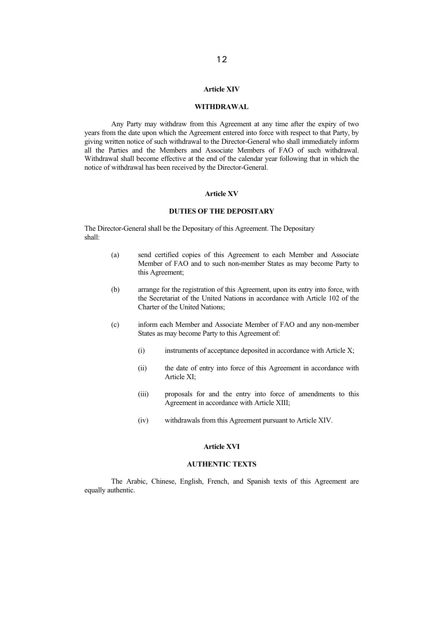### **Article XIV**

#### **WITHDRAWAL**

 Any Party may withdraw from this Agreement at any time after the expiry of two years from the date upon which the Agreement entered into force with respect to that Party, by giving written notice of such withdrawal to the Director-General who shall immediately inform all the Parties and the Members and Associate Members of FAO of such withdrawal. Withdrawal shall become effective at the end of the calendar year following that in which the notice of withdrawal has been received by the Director-General.

## **Article XV**

## **DUTIES OF THE DEPOSITARY**

The Director-General shall be the Depositary of this Agreement. The Depositary shall:

- (a) send certified copies of this Agreement to each Member and Associate Member of FAO and to such non-member States as may become Party to this Agreement;
- (b) arrange for the registration of this Agreement, upon its entry into force, with the Secretariat of the United Nations in accordance with Article 102 of the Charter of the United Nations;
- (c) inform each Member and Associate Member of FAO and any non-member States as may become Party to this Agreement of:
	- (i) instruments of acceptance deposited in accordance with Article X;
	- (ii) the date of entry into force of this Agreement in accordance with Article XI;
	- (iii) proposals for and the entry into force of amendments to this Agreement in accordance with Article XIII;
	- (iv) withdrawals from this Agreement pursuant to Article XIV.

# **Article XVI**

# **AUTHENTIC TEXTS**

 The Arabic, Chinese, English, French, and Spanish texts of this Agreement are equally authentic.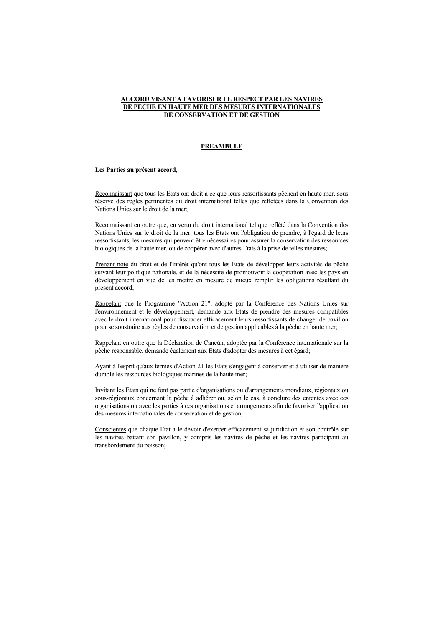## **ACCORD VISANT A FAVORISER LE RESPECT PAR LES NAVIRES DE PECHE EN HAUTE MER DES MESURES INTERNATIONALES DE CONSERVATION ET DE GESTION**

## **PREAMBULE**

### **Les Parties au présent accord,**

Reconnaissant que tous les Etats ont droit à ce que leurs ressortissants pêchent en haute mer, sous réserve des règles pertinentes du droit international telles que reflétées dans la Convention des Nations Unies sur le droit de la mer;

Reconnaissant en outre que, en vertu du droit international tel que reflété dans la Convention des Nations Unies sur le droit de la mer, tous les Etats ont l'obligation de prendre, à l'égard de leurs ressortissants, les mesures qui peuvent être nécessaires pour assurer la conservation des ressources biologiques de la haute mer, ou de coopérer avec d'autres Etats à la prise de telles mesures;

Prenant note du droit et de l'intérêt qu'ont tous les Etats de développer leurs activités de pêche suivant leur politique nationale, et de la nécessité de promouvoir la coopération avec les pays en développement en vue de les mettre en mesure de mieux remplir les obligations résultant du présent accord;

Rappelant que le Programme "Action 21", adopté par la Conférence des Nations Unies sur l'environnement et le développement, demande aux Etats de prendre des mesures compatibles avec le droit international pour dissuader efficacement leurs ressortissants de changer de pavillon pour se soustraire aux règles de conservation et de gestion applicables à la pêche en haute mer;

Rappelant en outre que la Déclaration de Cancún, adoptée par la Conférence internationale sur la pêche responsable, demande également aux Etats d'adopter des mesures à cet égard;

Ayant à l'esprit qu'aux termes d'Action 21 les Etats s'engagent à conserver et à utiliser de manière durable les ressources biologiques marines de la haute mer;

Invitant les Etats qui ne font pas partie d'organisations ou d'arrangements mondiaux, régionaux ou sous-régionaux concernant la pêche à adhérer ou, selon le cas, à conclure des ententes avec ces organisations ou avec les parties à ces organisations et arrangements afin de favoriser l'application des mesures internationales de conservation et de gestion;

Conscientes que chaque Etat a le devoir d'exercer efficacement sa juridiction et son contrôle sur les navires battant son pavillon, y compris les navires de pêche et les navires participant au transbordement du poisson;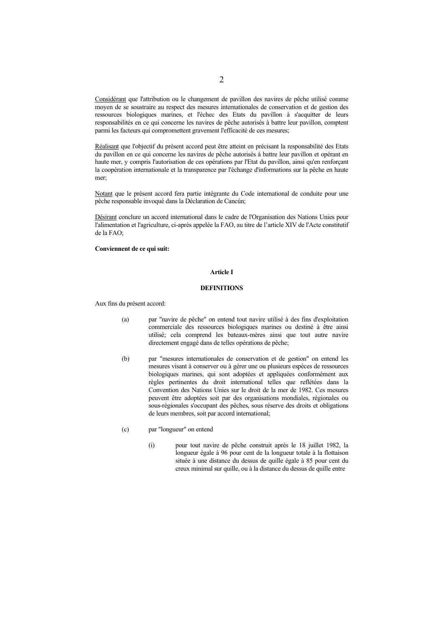Considérant que l'attribution ou le changement de pavillon des navires de pêche utilisé comme moyen de se soustraire au respect des mesures internationales de conservation et de gestion des ressources biologiques marines, et l'échec des Etats du pavillon à s'acquitter de leurs responsabilités en ce qui concerne les navires de pêche autorisés à battre leur pavillon, comptent parmi les facteurs qui compromettent gravement l'efficacité de ces mesures;

Réalisant que l'objectif du présent accord peut être atteint en précisant la responsabilité des Etats du pavillon en ce qui concerne les navires de pêche autorisés à battre leur pavillon et opérant en haute mer, y compris l'autorisation de ces opérations par l'Etat du pavillon, ainsi qu'en renforçant la coopération internationale et la transparence par l'échange d'informations sur la pêche en haute mer;

Notant que le présent accord fera partie intégrante du Code international de conduite pour une pêche responsable invoqué dans la Déclaration de Cancún;

Désirant conclure un accord international dans le cadre de l'Organisation des Nations Unies pour l'alimentation et l'agriculture, ci-après appelée la FAO, au titre de l'article XIV de l'Acte constitutif de la FAO;

**Conviennent de ce qui suit:** 

# **Article I**

### **DEFINITIONS**

Aux fins du présent accord:

- (a) par "navire de pêche" on entend tout navire utilisé à des fins d'exploitation commerciale des ressources biologiques marines ou destiné à être ainsi utilisé; cela comprend les bateaux-mères ainsi que tout autre navire directement engagé dans de telles opérations de pêche;
- (b) par "mesures internationales de conservation et de gestion" on entend les mesures visant à conserver ou à gérer une ou plusieurs espèces de ressources biologiques marines, qui sont adoptées et appliquées conformément aux règles pertinentes du droit international telles que reflétées dans la Convention des Nations Unies sur le droit de la mer de 1982. Ces mesures peuvent être adoptées soit par des organisations mondiales, régionales ou sous-régionales s'occupant des pêches, sous réserve des droits et obligations de leurs membres, soit par accord international;
- (c) par "longueur" on entend
	- (i) pour tout navire de pêche construit après le 18 juillet 1982, la longueur égale à 96 pour cent de la longueur totale à la flottaison située à une distance du dessus de quille égale à 85 pour cent du creux minimal sur quille, ou à la distance du dessus de quille entre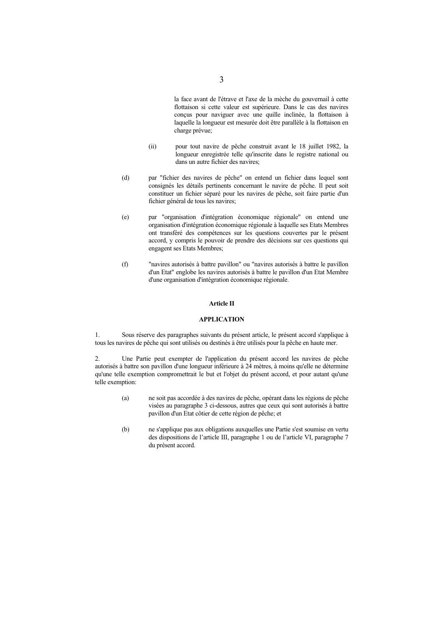la face avant de l'étrave et l'axe de la mèche du gouvernail à cette flottaison si cette valeur est supérieure. Dans le cas des navires conçus pour naviguer avec une quille inclinée, la flottaison à laquelle la longueur est mesurée doit être parallèle à la flottaison en charge prévue;

- (ii) pour tout navire de pêche construit avant le 18 juillet 1982, la longueur enregistrée telle qu'inscrite dans le registre national ou dans un autre fichier des navires;
- (d) par "fichier des navires de pêche" on entend un fichier dans lequel sont consignés les détails pertinents concernant le navire de pêche. Il peut soit constituer un fichier séparé pour les navires de pêche, soit faire partie d'un fichier général de tous les navires;
- (e) par "organisation d'intégration économique régionale" on entend une organisation d'intégration économique régionale à laquelle ses Etats Membres ont transféré des compétences sur les questions couvertes par le présent accord, y compris le pouvoir de prendre des décisions sur ces questions qui engagent ses Etats Membres;
- (f) "navires autorisés à battre pavillon" ou "navires autorisés à battre le pavillon d'un Etat" englobe les navires autorisés à battre le pavillon d'un Etat Membre d'une organisation d'intégration économique régionale.

### **Article II**

#### **APPLICATION**

1. Sous réserve des paragraphes suivants du présent article, le présent accord s'applique à tous les navires de pêche qui sont utilisés ou destinés à être utilisés pour la pêche en haute mer.

2. Une Partie peut exempter de l'application du présent accord les navires de pêche autorisés à battre son pavillon d'une longueur inférieure à 24 mètres, à moins qu'elle ne détermine qu'une telle exemption compromettrait le but et l'objet du présent accord, et pour autant qu'une telle exemption:

- (a) ne soit pas accordée à des navires de pêche, opérant dans les régions de pêche visées au paragraphe 3 ci-dessous, autres que ceux qui sont autorisés à battre pavillon d'un Etat côtier de cette région de pêche; et
- (b) ne s'applique pas aux obligations auxquelles une Partie s'est soumise en vertu des dispositions de l'article III, paragraphe 1 ou de l'article VI, paragraphe 7 du présent accord.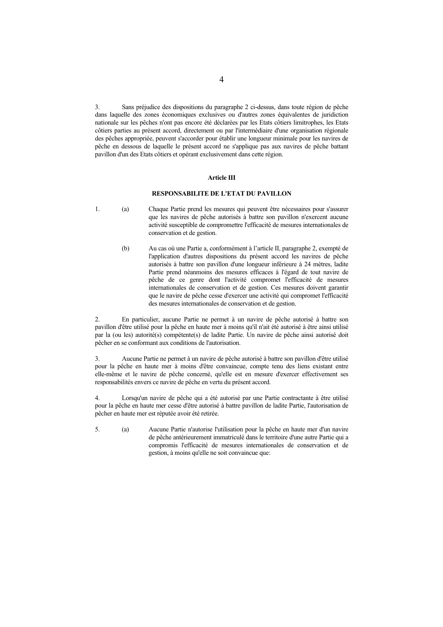3. Sans préjudice des dispositions du paragraphe 2 ci-dessus, dans toute région de pêche dans laquelle des zones économiques exclusives ou d'autres zones équivalentes de juridiction nationale sur les pêches n'ont pas encore été déclarées par les Etats côtiers limitrophes, les Etats côtiers parties au présent accord, directement ou par l'intermédiaire d'une organisation régionale des pêches appropriée, peuvent s'accorder pour établir une longueur minimale pour les navires de pêche en dessous de laquelle le présent accord ne s'applique pas aux navires de pêche battant pavillon d'un des Etats côtiers et opérant exclusivement dans cette région.

## **Article III**

## **RESPONSABILITE DE L'ETAT DU PAVILLON**

- 1. (a) Chaque Partie prend les mesures qui peuvent être nécessaires pour s'assurer que les navires de pêche autorisés à battre son pavillon n'exercent aucune activité susceptible de compromettre l'efficacité de mesures internationales de conservation et de gestion.
	- (b) Au cas où une Partie a, conformément à l'article II, paragraphe 2, exempté de l'application d'autres dispositions du présent accord les navires de pêche autorisés à battre son pavillon d'une longueur inférieure à 24 mètres, ladite Partie prend néanmoins des mesures efficaces à l'égard de tout navire de pêche de ce genre dont l'activité compromet l'efficacité de mesures internationales de conservation et de gestion. Ces mesures doivent garantir que le navire de pêche cesse d'exercer une activité qui compromet l'efficacité des mesures internationales de conservation et de gestion.

2. En particulier, aucune Partie ne permet à un navire de pêche autorisé à battre son pavillon d'être utilisé pour la pêche en haute mer à moins qu'il n'ait été autorisé à être ainsi utilisé par la (ou les) autorité(s) compétente(s) de ladite Partie. Un navire de pêche ainsi autorisé doit pêcher en se conformant aux conditions de l'autorisation.

3. Aucune Partie ne permet à un navire de pêche autorisé à battre son pavillon d'être utilisé pour la pêche en haute mer à moins d'être convaincue, compte tenu des liens existant entre elle-même et le navire de pêche concerné, qu'elle est en mesure d'exercer effectivement ses responsabilités envers ce navire de pêche en vertu du présent accord.

4. Lorsqu'un navire de pêche qui a été autorisé par une Partie contractante à être utilisé pour la pêche en haute mer cesse d'être autorisé à battre pavillon de ladite Partie, l'autorisation de pêcher en haute mer est réputée avoir été retirée.

5. (a) Aucune Partie n'autorise l'utilisation pour la pêche en haute mer d'un navire de pêche antérieurement immatriculé dans le territoire d'une autre Partie qui a compromis l'efficacité de mesures internationales de conservation et de gestion, à moins qu'elle ne soit convaincue que: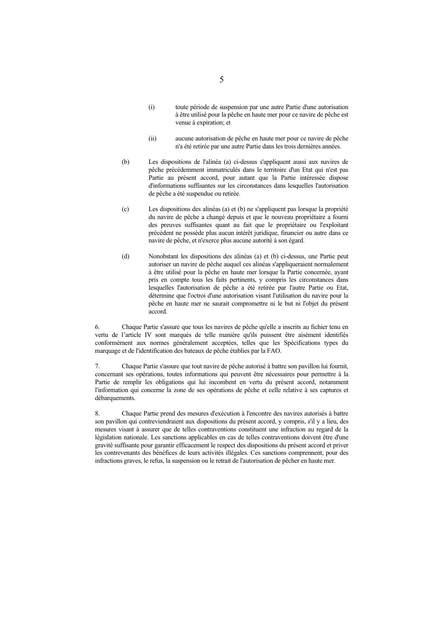- (i) toute période de suspension par une autre Partie d'une autorisation à être utilisé pour la pêche en haute mer pour ce navire de pêche est venue à expiration; et
- (ii) aucune autorisation de pêche en haute mer pour ce navire de pêche n'a été retirée par une autre Partie dans les trois dernières années.
- (b) Les dispositions de l'alinéa (a) ci-dessus s'appliquent aussi aux navires de pêche précédemment immatriculés dans le territoire d'un Etat qui n'est pas Partie au présent accord, pour autant que la Partie intéressée dispose d'informations suffisantes sur les circonstances dans lesquelles l'autorisation de pêche a été suspendue ou retirée.
- (c) Les dispositions des alinéas (a) et (b) ne s'appliquent pas lorsque la propriété du navire de pêche a changé depuis et que le nouveau propriétaire a fourni des preuves suffisantes quant au fait que le propriétaire ou l'exploitant précédent ne possède plus aucun intérêt juridique, financier ou autre dans ce navire de pêche, et n'exerce plus aucune autorité à son égard.
- (d) Nonobstant les dispositions des alinéas (a) et (b) ci-dessus, une Partie peut autoriser un navire de pêche auquel ces alinéas s'appliqueraient normalement à être utilisé pour la pêche en haute mer lorsque la Partie concernée, ayant pris en compte tous les faits pertinents, y compris les circonstances dans lesquelles l'autorisation de pêche a été retirée par l'autre Partie ou Etat, détermine que l'octroi d'une autorisation visant l'utilisation du navire pour la pêche en haute mer ne saurait compromettre ni le but ni l'objet du présent accord.

6. Chaque Partie s'assure que tous les navires de pêche qu'elle a inscrits au fichier tenu en vertu de l'article IV sont marqués de telle manière qu'ils puissent être aisément identifiés conformément aux normes généralement acceptées, telles que les Spécifications types du marquage et de l'identification des bateaux de pêche établies par la FAO.

7. Chaque Partie s'assure que tout navire de pêche autorisé à battre son pavillon lui fournit, concernant ses opérations, toutes informations qui peuvent être nécessaires pour permettre à la Partie de remplir les obligations qui lui incombent en vertu du présent accord, notamment l'information qui concerne la zone de ses opérations de pêche et celle relative à ses captures et débarquements.

8. Chaque Partie prend des mesures d'exécution à l'encontre des navires autorisés à battre son pavillon qui contreviendraient aux dispositions du présent accord, y compris, s'il y a lieu, des mesures visant à assurer que de telles contraventions constituent une infraction au regard de la législation nationale. Les sanctions applicables en cas de telles contraventions doivent être d'une gravité suffisante pour garantir efficacement le respect des dispositions du présent accord et priver les contrevenants des bénéfices de leurs activités illégales. Ces sanctions comprennent, pour des infractions graves, le refus, la suspension ou le retrait de l'autorisation de pêcher en haute mer.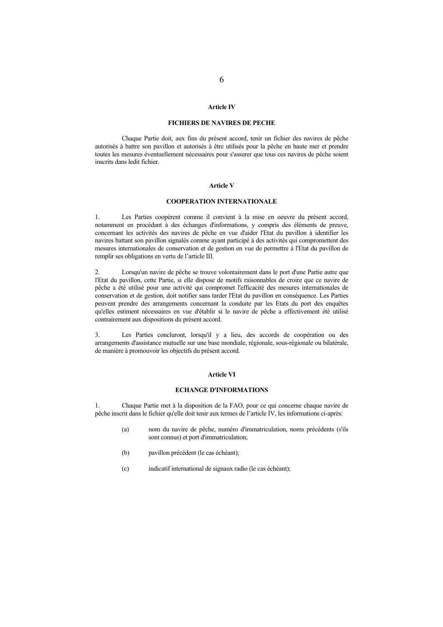#### **Article IV**

#### **FICHIERS DE NAVIRES DE PECHE**

 Chaque Partie doit, aux fins du présent accord, tenir un fichier des navires de pêche autorisés à battre son pavillon et autorisés à être utilisés pour la pêche en haute mer et prendre toutes les mesures éventuellement nécessaires pour s'assurer que tous ces navires de pêche soient inscrits dans ledit fichier.

### **Article V**

## **COOPERATION INTERNATIONALE**

1. Les Parties coopèrent comme il convient à la mise en oeuvre du présent accord, notamment en procédant à des échanges d'informations, y compris des éléments de preuve, concernant les activités des navires de pêche en vue d'aider l'Etat du pavillon à identifier les navires battant son pavillon signalés comme ayant participé à des activités qui compromettent des mesures internationales de conservation et de gestion en vue de permettre à l'Etat du pavillon de remplir ses obligations en vertu de l'article III.

2. Lorsqu'un navire de pêche se trouve volontairement dans le port d'une Partie autre que l'Etat du pavillon, cette Partie, si elle dispose de motifs raisonnables de croire que ce navire de pêche a été utilisé pour une activité qui compromet l'efficacité des mesures internationales de conservation et de gestion, doit notifier sans tarder l'Etat du pavillon en conséquence. Les Parties peuvent prendre des arrangements concernant la conduite par les Etats du port des enquêtes qu'elles estiment nécessaires en vue d'établir si le navire de pêche a effectivement été utilisé contrairement aux dispositions du présent accord.

3. Les Parties concluront, lorsqu'il y a lieu, des accords de coopération ou des arrangements d'assistance mutuelle sur une base mondiale, régionale, sous-régionale ou bilatérale, de manière à promouvoir les objectifs du présent accord.

#### **Article VI**

## **ECHANGE D'INFORMATIONS**

1. Chaque Partie met à la disposition de la FAO, pour ce qui concerne chaque navire de pêche inscrit dans le fichier qu'elle doit tenir aux termes de l'article IV, les informations ci-après:

- (a) nom du navire de pêche, numéro d'immatriculation, noms précédents (s'ils sont connus) et port d'immatriculation;
- (b) pavillon précédent (le cas échéant);
- (c) indicatif international de signaux radio (le cas échéant);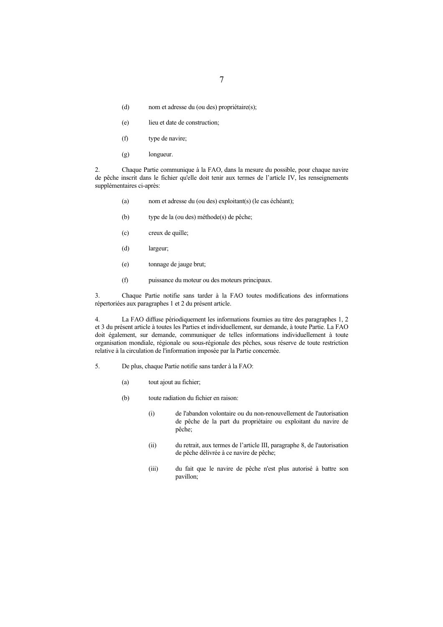- (d) nom et adresse du (ou des) propriétaire(s);
- (e) lieu et date de construction;
- (f) type de navire;
- (g) longueur.

2. Chaque Partie communique à la FAO, dans la mesure du possible, pour chaque navire de pêche inscrit dans le fichier qu'elle doit tenir aux termes de l'article IV, les renseignements supplémentaires ci-après:

- (a) nom et adresse du (ou des) exploitant(s) (le cas échéant);
- (b) type de la (ou des) méthode(s) de pêche;
- (c) creux de quille;
- (d) largeur;
- (e) tonnage de jauge brut;
- (f) puissance du moteur ou des moteurs principaux.

3. Chaque Partie notifie sans tarder à la FAO toutes modifications des informations répertoriées aux paragraphes 1 et 2 du présent article.

4. La FAO diffuse périodiquement les informations fournies au titre des paragraphes 1, 2 et 3 du présent article à toutes les Parties et individuellement, sur demande, à toute Partie. La FAO doit également, sur demande, communiquer de telles informations individuellement à toute organisation mondiale, régionale ou sous-régionale des pêches, sous réserve de toute restriction relative à la circulation de l'information imposée par la Partie concernée.

- 5. De plus, chaque Partie notifie sans tarder à la FAO:
	- (a) tout ajout au fichier;
	- (b) toute radiation du fichier en raison:
		- (i) de l'abandon volontaire ou du non-renouvellement de l'autorisation de pêche de la part du propriétaire ou exploitant du navire de pêche;
		- (ii) du retrait, aux termes de l'article III, paragraphe 8, de l'autorisation de pêche délivrée à ce navire de pêche;
		- (iii) du fait que le navire de pêche n'est plus autorisé à battre son pavillon;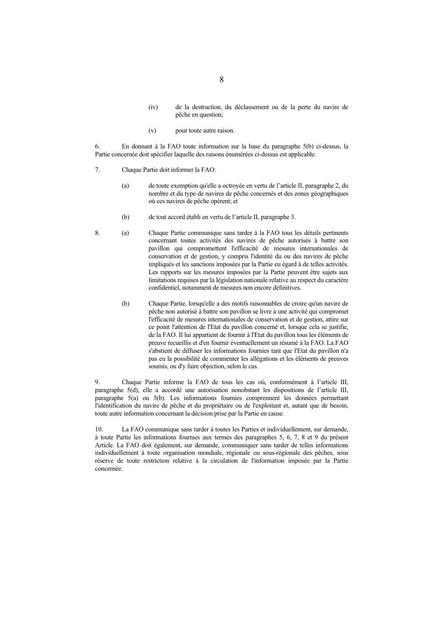- (iv) de la destruction, du déclassement ou de la perte du navire de pêche en question;
- (v) pour toute autre raison.

6. En donnant à la FAO toute information sur la base du paragraphe 5(b) ci-dessus, la Partie concernée doit spécifier laquelle des raisons énumérées ci-dessus est applicable.

- 7. Chaque Partie doit informer la FAO:
	- (a) de toute exemption qu'elle a octroyée en vertu de l'article II, paragraphe 2, du nombre et du type de navires de pêche concernés et des zones géographiques où ces navires de pêche opèrent; et
	- (b) de tout accord établi en vertu de l'article II, paragraphe 3.
- 8. (a) Chaque Partie communique sans tarder à la FAO tous les détails pertinents concernant toutes activités des navires de pêche autorisés à battre son pavillon qui compromettent l'efficacité de mesures internationales de conservation et de gestion, y compris l'identité du ou des navires de pêche impliqués et les sanctions imposées par la Partie eu égard à de telles activités. Les rapports sur les mesures imposées par la Partie peuvent être sujets aux limitations requises par la législation nationale relative au respect du caractère confidentiel, notamment de mesures non encore définitives.
	- (b) Chaque Partie, lorsqu'elle a des motifs raisonnables de croire qu'un navire de pêche non autorisé à battre son pavillon se livre à une activité qui compromet l'efficacité de mesures internationales de conservation et de gestion, attire sur ce point l'attention de l'Etat du pavillon concerné et, lorsque cela se justifie, de la FAO. Il lui appartient de fournir à l'Etat du pavillon tous les éléments de preuve recueillis et d'en fournir éventuellement un résumé à la FAO. La FAO s'abstient de diffuser les informations fournies tant que l'Etat du pavillon n'a pas eu la possibilité de commenter les allégations et les éléments de preuves soumis, ou d'y faire objection, selon le cas.

9. Chaque Partie informe la FAO de tous les cas où, conformément à l'article III, paragraphe 5(d), elle a accordé une autorisation nonobstant les dispositions de l'article III, paragraphe 5(a) ou 5(b). Les informations fournies comprennent les données permettant l'identification du navire de pêche et du propriétaire ou de l'exploitant et, autant que de besoin, toute autre information concernant la décision prise par la Partie en cause.

10. La FAO communique sans tarder à toutes les Parties et individuellement, sur demande, à toute Partie les informations fournies aux termes des paragraphes 5, 6, 7, 8 et 9 du présent Article. La FAO doit également, sur demande, communiquer sans tarder de telles informations individuellement à toute organisation mondiale, régionale ou sous-régionale des pêches, sous réserve de toute restriction relative à la circulation de l'information imposée par la Partie concernée.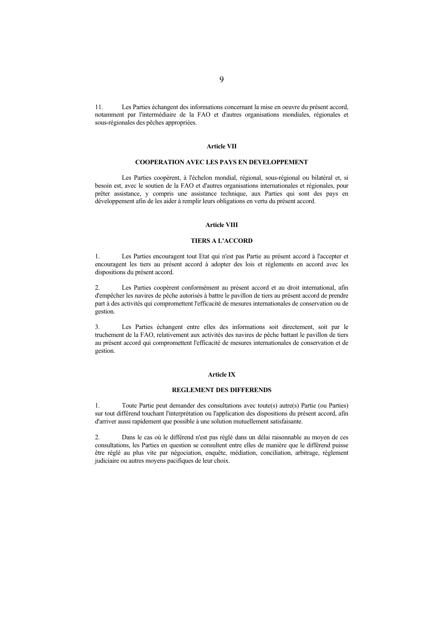11. Les Parties échangent des informations concernant la mise en oeuvre du présent accord, notamment par l'intermédiaire de la FAO et d'autres organisations mondiales, régionales et sous-régionales des pêches appropriées.

#### **Article VII**

### **COOPERATION AVEC LES PAYS EN DEVELOPPEMENT**

 Les Parties coopèrent, à l'échelon mondial, régional, sous-régional ou bilatéral et, si besoin est, avec le soutien de la FAO et d'autres organisations internationales et régionales, pour prêter assistance, y compris une assistance technique, aux Parties qui sont des pays en développement afin de les aider à remplir leurs obligations en vertu du présent accord.

## **Article VIII**

### **TIERS A L'ACCORD**

1. Les Parties encouragent tout Etat qui n'est pas Partie au présent accord à l'accepter et encouragent les tiers au présent accord à adopter des lois et règlements en accord avec les dispositions du présent accord.

2. Les Parties coopèrent conformément au présent accord et au droit international, afin d'empêcher les navires de pêche autorisés à battre le pavillon de tiers au présent accord de prendre part à des activités qui compromettent l'efficacité de mesures internationales de conservation ou de gestion.

3. Les Parties échangent entre elles des informations soit directement, soit par le truchement de la FAO, relativement aux activités des navires de pêche battant le pavillon de tiers au présent accord qui compromettent l'efficacité de mesures internationales de conservation et de gestion.

### **Article IX**

### **REGLEMENT DES DIFFERENDS**

1. Toute Partie peut demander des consultations avec toute(s) autre(s) Partie (ou Parties) sur tout différend touchant l'interprétation ou l'application des dispositions du présent accord, afin d'arriver aussi rapidement que possible à une solution mutuellement satisfaisante.

2. Dans le cas où le différend n'est pas réglé dans un délai raisonnable au moyen de ces consultations, les Parties en question se consultent entre elles de manière que le différend puisse être réglé au plus vite par négociation, enquête, médiation, conciliation, arbitrage, règlement judiciaire ou autres moyens pacifiques de leur choix.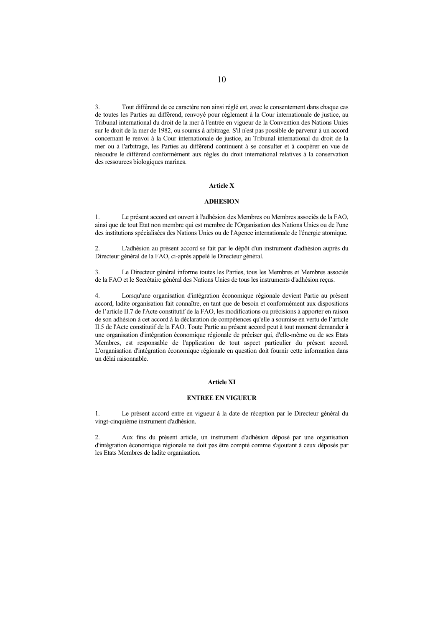3. Tout différend de ce caractère non ainsi réglé est, avec le consentement dans chaque cas de toutes les Parties au différend, renvoyé pour règlement à la Cour internationale de justice, au Tribunal international du droit de la mer à l'entrée en vigueur de la Convention des Nations Unies sur le droit de la mer de 1982, ou soumis à arbitrage. S'il n'est pas possible de parvenir à un accord concernant le renvoi à la Cour internationale de justice, au Tribunal international du droit de la mer ou à l'arbitrage, les Parties au différend continuent à se consulter et à coopérer en vue de résoudre le différend conformément aux règles du droit international relatives à la conservation des ressources biologiques marines.

### **Article X**

## **ADHESION**

1. Le présent accord est ouvert à l'adhésion des Membres ou Membres associés de la FAO, ainsi que de tout Etat non membre qui est membre de l'Organisation des Nations Unies ou de l'une des institutions spécialisées des Nations Unies ou de l'Agence internationale de l'énergie atomique.

2. L'adhésion au présent accord se fait par le dépôt d'un instrument d'adhésion auprès du Directeur général de la FAO, ci-après appelé le Directeur général.

3. Le Directeur général informe toutes les Parties, tous les Membres et Membres associés de la FAO et le Secrétaire général des Nations Unies de tous les instruments d'adhésion reçus.

4. Lorsqu'une organisation d'intégration économique régionale devient Partie au présent accord, ladite organisation fait connaître, en tant que de besoin et conformément aux dispositions de l'article II.7 de l'Acte constitutif de la FAO, les modifications ou précisions à apporter en raison de son adhésion à cet accord à la déclaration de compétences qu'elle a soumise en vertu de l'article II.5 de l'Acte constitutif de la FAO. Toute Partie au présent accord peut à tout moment demander à une organisation d'intégration économique régionale de préciser qui, d'elle-même ou de ses Etats Membres, est responsable de l'application de tout aspect particulier du présent accord. L'organisation d'intégration économique régionale en question doit fournir cette information dans un délai raisonnable.

#### **Article XI**

#### **ENTREE EN VIGUEUR**

1. Le présent accord entre en vigueur à la date de réception par le Directeur général du vingt-cinquième instrument d'adhésion.

2. Aux fins du présent article, un instrument d'adhésion déposé par une organisation d'intégration économique régionale ne doit pas être compté comme s'ajoutant à ceux déposés par les Etats Membres de ladite organisation.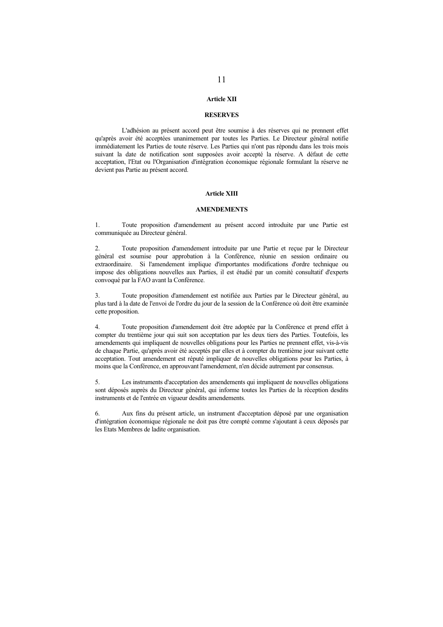#### **Article XII**

#### **RESERVES**

 L'adhésion au présent accord peut être soumise à des réserves qui ne prennent effet qu'après avoir été acceptées unanimement par toutes les Parties. Le Directeur général notifie immédiatement les Parties de toute réserve. Les Parties qui n'ont pas répondu dans les trois mois suivant la date de notification sont supposées avoir accepté la réserve. A défaut de cette acceptation, l'Etat ou l'Organisation d'intégration économique régionale formulant la réserve ne devient pas Partie au présent accord.

### **Article XIII**

### **AMENDEMENTS**

1. Toute proposition d'amendement au présent accord introduite par une Partie est communiquée au Directeur général.

2. Toute proposition d'amendement introduite par une Partie et reçue par le Directeur général est soumise pour approbation à la Conférence, réunie en session ordinaire ou extraordinaire. Si l'amendement implique d'importantes modifications d'ordre technique ou impose des obligations nouvelles aux Parties, il est étudié par un comité consultatif d'experts convoqué par la FAO avant la Conférence.

3. Toute proposition d'amendement est notifiée aux Parties par le Directeur général, au plus tard à la date de l'envoi de l'ordre du jour de la session de la Conférence où doit être examinée cette proposition.

4. Toute proposition d'amendement doit être adoptée par la Conférence et prend effet à compter du trentième jour qui suit son acceptation par les deux tiers des Parties. Toutefois, les amendements qui impliquent de nouvelles obligations pour les Parties ne prennent effet, vis-à-vis de chaque Partie, qu'après avoir été acceptés par elles et à compter du trentième jour suivant cette acceptation. Tout amendement est réputé impliquer de nouvelles obligations pour les Parties, à moins que la Conférence, en approuvant l'amendement, n'en décide autrement par consensus.

5. Les instruments d'acceptation des amendements qui impliquent de nouvelles obligations sont déposés auprès du Directeur général, qui informe toutes les Parties de la réception desdits instruments et de l'entrée en vigueur desdits amendements.

6. Aux fins du présent article, un instrument d'acceptation déposé par une organisation d'intégration économique régionale ne doit pas être compté comme s'ajoutant à ceux déposés par les Etats Membres de ladite organisation.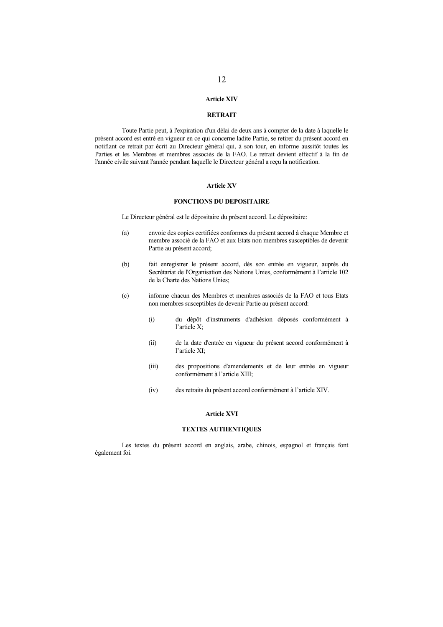#### **Article XIV**

#### **RETRAIT**

 Toute Partie peut, à l'expiration d'un délai de deux ans à compter de la date à laquelle le présent accord est entré en vigueur en ce qui concerne ladite Partie, se retirer du présent accord en notifiant ce retrait par écrit au Directeur général qui, à son tour, en informe aussitôt toutes les Parties et les Membres et membres associés de la FAO. Le retrait devient effectif à la fin de l'année civile suivant l'année pendant laquelle le Directeur général a reçu la notification.

### **Article XV**

# **FONCTIONS DU DEPOSITAIRE**

Le Directeur général est le dépositaire du présent accord. Le dépositaire:

- (a) envoie des copies certifiées conformes du présent accord à chaque Membre et membre associé de la FAO et aux Etats non membres susceptibles de devenir Partie au présent accord;
- (b) fait enregistrer le présent accord, dès son entrée en vigueur, auprès du Secrétariat de l'Organisation des Nations Unies, conformément à l'article 102 de la Charte des Nations Unies;
- (c) informe chacun des Membres et membres associés de la FAO et tous Etats non membres susceptibles de devenir Partie au présent accord:
	- (i) du dépôt d'instruments d'adhésion déposés conformément à l'article X;
	- (ii) de la date d'entrée en vigueur du présent accord conformément à l'article XI;
	- (iii) des propositions d'amendements et de leur entrée en vigueur conformément à l'article XIII;
	- (iv) des retraits du présent accord conformément à l'article XIV.

### **Article XVI**

# **TEXTES AUTHENTIQUES**

 Les textes du présent accord en anglais, arabe, chinois, espagnol et français font également foi.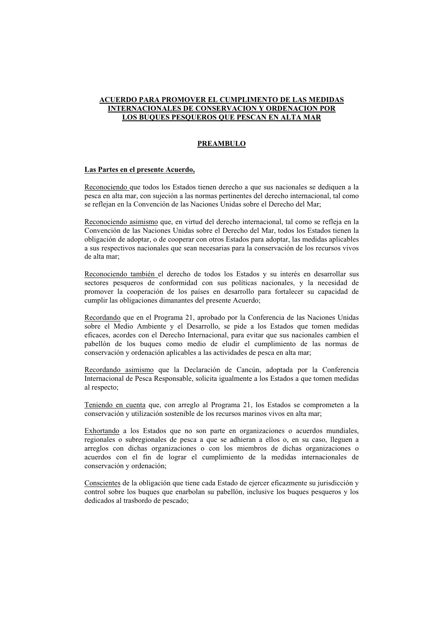# **ACUERDO PARA PROMOVER EL CUMPLIMENTO DE LAS MEDIDAS INTERNACIONALES DE CONSERVACION Y ORDENACION POR LOS BUQUES PESQUEROS QUE PESCAN EN ALTA MAR**

# **PREAMBULO**

## **Las Partes en el presente Acuerdo,**

Reconociendo que todos los Estados tienen derecho a que sus nacionales se dediquen a la pesca en alta mar, con sujeción a las normas pertinentes del derecho internacional, tal como se reflejan en la Convención de las Naciones Unidas sobre el Derecho del Mar;

Reconociendo asimismo que, en virtud del derecho internacional, tal como se refleja en la Convención de las Naciones Unidas sobre el Derecho del Mar, todos los Estados tienen la obligación de adoptar, o de cooperar con otros Estados para adoptar, las medidas aplicables a sus respectivos nacionales que sean necesarias para la conservación de los recursos vivos de alta mar;

Reconociendo también el derecho de todos los Estados y su interés en desarrollar sus sectores pesqueros de conformidad con sus políticas nacionales, y la necesidad de promover la cooperación de los países en desarrollo para fortalecer su capacidad de cumplir las obligaciones dimanantes del presente Acuerdo;

Recordando que en el Programa 21, aprobado por la Conferencia de las Naciones Unidas sobre el Medio Ambiente y el Desarrollo, se pide a los Estados que tomen medidas eficaces, acordes con el Derecho Internacional, para evitar que sus nacionales cambien el pabellón de los buques como medio de eludir el cumplimiento de las normas de conservación y ordenación aplicables a las actividades de pesca en alta mar;

Recordando asimismo que la Declaración de Cancún, adoptada por la Conferencia Internacional de Pesca Responsable, solicita igualmente a los Estados a que tomen medidas al respecto;

Teniendo en cuenta que, con arreglo al Programa 21, los Estados se comprometen a la conservación y utilización sostenible de los recursos marinos vivos en alta mar;

Exhortando a los Estados que no son parte en organizaciones o acuerdos mundiales, regionales o subregionales de pesca a que se adhieran a ellos o, en su caso, lleguen a arreglos con dichas organizaciones o con los miembros de dichas organizaciones o acuerdos con el fin de lograr el cumplimiento de la medidas internacionales de conservación y ordenación;

Conscientes de la obligación que tiene cada Estado de ejercer eficazmente su jurisdicción y control sobre los buques que enarbolan su pabellón, inclusive los buques pesqueros y los dedicados al trasbordo de pescado;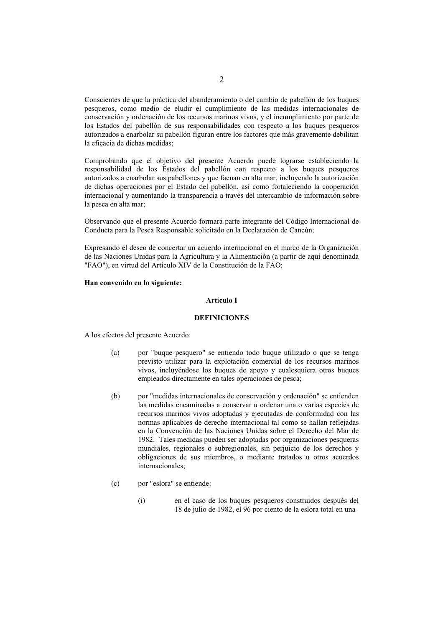Conscientes de que la práctica del abanderamiento o del cambio de pabellón de los buques pesqueros, como medio de eludir el cumplimiento de las medidas internacionales de conservación y ordenación de los recursos marinos vivos, y el incumplimiento por parte de los Estados del pabellón de sus responsabilidades con respecto a los buques pesqueros autorizados a enarbolar su pabellón figuran entre los factores que más gravemente debilitan la eficacia de dichas medidas;

Comprobando que el objetivo del presente Acuerdo puede lograrse estableciendo la responsabilidad de los Estados del pabellón con respecto a los buques pesqueros autorizados a enarbolar sus pabellones y que faenan en alta mar, incluyendo la autorización de dichas operaciones por el Estado del pabellón, así como fortaleciendo la cooperación internacional y aumentando la transparencia a través del intercambio de información sobre la pesca en alta mar;

Observando que el presente Acuerdo formará parte integrante del Código Internacional de Conducta para la Pesca Responsable solicitado en la Declaración de Cancún;

Expresando el deseo de concertar un acuerdo internacional en el marco de la Organización de las Naciones Unidas para la Agricultura y la Alimentación (a partir de aquí denominada "FAO"), en virtud del Artículo XIV de la Constitución de la FAO;

## **Han convenido en lo siguiente:**

## **Art**í**culo I**

## **DEFINICIONES**

A los efectos del presente Acuerdo:

- (a) por "buque pesquero" se entiendo todo buque utilizado o que se tenga previsto utilizar para la explotación comercial de los recursos marinos vivos, incluyéndose los buques de apoyo y cualesquiera otros buques empleados directamente en tales operaciones de pesca;
- (b) por "medidas internacionales de conservación y ordenación" se entienden las medidas encaminadas a conservar u ordenar una o varias especies de recursos marinos vivos adoptadas y ejecutadas de conformidad con las normas aplicables de derecho internacional tal como se hallan reflejadas en la Convención de las Naciones Unidas sobre el Derecho del Mar de 1982. Tales medidas pueden ser adoptadas por organizaciones pesqueras mundiales, regionales o subregionales, sin perjuicio de los derechos y obligaciones de sus miembros, o mediante tratados u otros acuerdos internacionales;
- (c) por "eslora" se entiende:
	- (i) en el caso de los buques pesqueros construidos después del 18 de julio de 1982, el 96 por ciento de la eslora total en una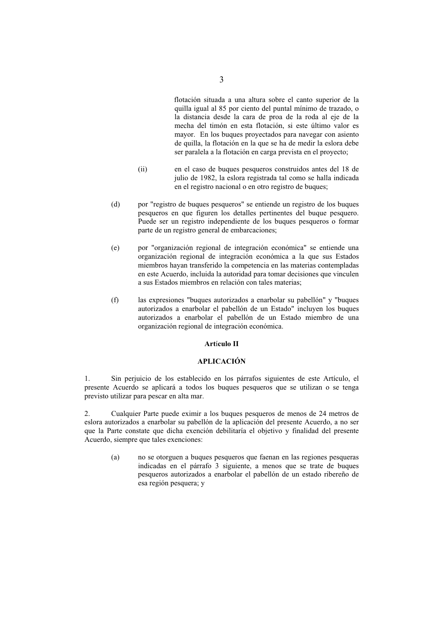flotación situada a una altura sobre el canto superior de la quilla igual al 85 por ciento del puntal mínimo de trazado, o la distancia desde la cara de proa de la roda al eje de la mecha del timón en esta flotación, si este último valor es mayor. En los buques proyectados para navegar con asiento de quilla, la flotación en la que se ha de medir la eslora debe ser paralela a la flotación en carga prevista en el proyecto;

- (ii) en el caso de buques pesqueros construidos antes del 18 de julio de 1982, la eslora registrada tal como se halla indicada en el registro nacional o en otro registro de buques;
- (d) por "registro de buques pesqueros" se entiende un registro de los buques pesqueros en que figuren los detalles pertinentes del buque pesquero. Puede ser un registro independiente de los buques pesqueros o formar parte de un registro general de embarcaciones;
- (e) por "organización regional de integración económica" se entiende una organización regional de integración económica a la que sus Estados miembros hayan transferido la competencia en las materias contempladas en este Acuerdo, incluida la autoridad para tomar decisiones que vinculen a sus Estados miembros en relación con tales materias;
- (f) las expresiones "buques autorizados a enarbolar su pabellón" y "buques autorizados a enarbolar el pabellón de un Estado" incluyen los buques autorizados a enarbolar el pabellón de un Estado miembro de una organización regional de integración económica.

## **Art**í**culo II**

## **APLICACIÓN**

1. Sin perjuicio de los establecido en los párrafos siguientes de este Artículo, el presente Acuerdo se aplicará a todos los buques pesqueros que se utilizan o se tenga previsto utilizar para pescar en alta mar.

2. Cualquier Parte puede eximir a los buques pesqueros de menos de 24 metros de eslora autorizados a enarbolar su pabellón de la aplicación del presente Acuerdo, a no ser que la Parte constate que dicha exención debilitaría el objetivo y finalidad del presente Acuerdo, siempre que tales exenciones:

 (a) no se otorguen a buques pesqueros que faenan en las regiones pesqueras indicadas en el párrafo 3 siguiente, a menos que se trate de buques pesqueros autorizados a enarbolar el pabellón de un estado ribereño de esa región pesquera; y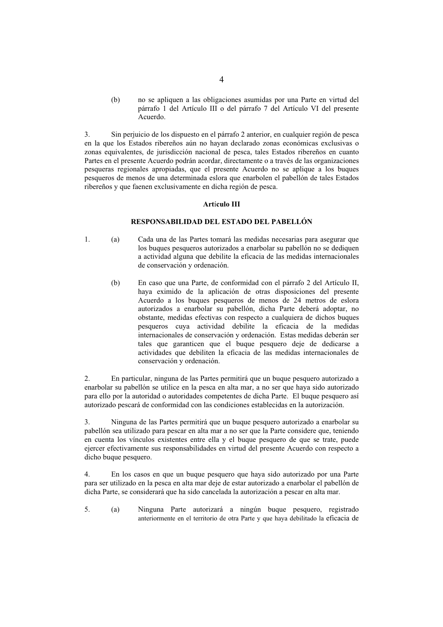(b) no se apliquen a las obligaciones asumidas por una Parte en virtud del párrafo 1 del Artículo III o del párrafo 7 del Artículo VI del presente Acuerdo.

3. Sin perjuicio de los dispuesto en el párrafo 2 anterior, en cualquier región de pesca en la que los Estados ribereños aún no hayan declarado zonas económicas exclusivas o zonas equivalentes, de jurisdicción nacional de pesca, tales Estados ribereños en cuanto Partes en el presente Acuerdo podrán acordar, directamente o a través de las organizaciones pesqueras regionales apropiadas, que el presente Acuerdo no se aplique a los buques pesqueros de menos de una determinada eslora que enarbolen el pabellón de tales Estados ribereños y que faenen exclusivamente en dicha región de pesca.

#### **Art**í**culo III**

# **RESPONSABILIDAD DEL ESTADO DEL PABELLÓN**

- 1. (a) Cada una de las Partes tomará las medidas necesarias para asegurar que los buques pesqueros autorizados a enarbolar su pabellón no se dediquen a actividad alguna que debilite la eficacia de las medidas internacionales de conservación y ordenación.
	- (b) En caso que una Parte, de conformidad con el párrafo 2 del Artículo II, haya eximido de la aplicación de otras disposiciones del presente Acuerdo a los buques pesqueros de menos de 24 metros de eslora autorizados a enarbolar su pabellón, dicha Parte deberá adoptar, no obstante, medidas efectivas con respecto a cualquiera de dichos buques pesqueros cuya actividad debilite la eficacia de la medidas internacionales de conservación y ordenación. Estas medidas deberán ser tales que garanticen que el buque pesquero deje de dedicarse a actividades que debiliten la eficacia de las medidas internacionales de conservación y ordenación.

2. En particular, ninguna de las Partes permitirá que un buque pesquero autorizado a enarbolar su pabellón se utilice en la pesca en alta mar, a no ser que haya sido autorizado para ello por la autoridad o autoridades competentes de dicha Parte. El buque pesquero así autorizado pescará de conformidad con las condiciones establecidas en la autorización.

3. Ninguna de las Partes permitirá que un buque pesquero autorizado a enarbolar su pabellón sea utilizado para pescar en alta mar a no ser que la Parte considere que, teniendo en cuenta los vínculos existentes entre ella y el buque pesquero de que se trate, puede ejercer efectivamente sus responsabilidades en virtud del presente Acuerdo con respecto a dicho buque pesquero.

4. En los casos en que un buque pesquero que haya sido autorizado por una Parte para ser utilizado en la pesca en alta mar deje de estar autorizado a enarbolar el pabellón de dicha Parte, se considerará que ha sido cancelada la autorización a pescar en alta mar.

5. (a) Ninguna Parte autorizará a ningún buque pesquero, registrado anteriormente en el territorio de otra Parte y que haya debilitado la eficacia de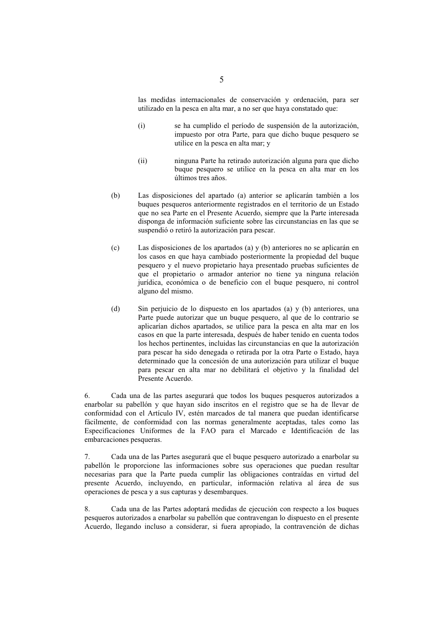las medidas internacionales de conservación y ordenación, para ser utilizado en la pesca en alta mar, a no ser que haya constatado que:

- (i) se ha cumplido el período de suspensión de la autorización, impuesto por otra Parte, para que dicho buque pesquero se utilice en la pesca en alta mar; y
- (ii) ninguna Parte ha retirado autorización alguna para que dicho buque pesquero se utilice en la pesca en alta mar en los últimos tres años.
- (b) Las disposiciones del apartado (a) anterior se aplicarán también a los buques pesqueros anteriormente registrados en el territorio de un Estado que no sea Parte en el Presente Acuerdo, siempre que la Parte interesada disponga de información suficiente sobre las circunstancias en las que se suspendió o retiró la autorización para pescar.
- (c) Las disposiciones de los apartados (a) y (b) anteriores no se aplicarán en los casos en que haya cambiado posteriormente la propiedad del buque pesquero y el nuevo propietario haya presentado pruebas suficientes de que el propietario o armador anterior no tiene ya ninguna relación jurídica, económica o de beneficio con el buque pesquero, ni control alguno del mismo.
- (d) Sin perjuicio de lo dispuesto en los apartados (a) y (b) anteriores, una Parte puede autorizar que un buque pesquero, al que de lo contrario se aplicarían dichos apartados, se utilice para la pesca en alta mar en los casos en que la parte interesada, después de haber tenido en cuenta todos los hechos pertinentes, incluidas las circunstancias en que la autorización para pescar ha sido denegada o retirada por la otra Parte o Estado, haya determinado que la concesión de una autorización para utilizar el buque para pescar en alta mar no debilitará el objetivo y la finalidad del Presente Acuerdo.

6. Cada una de las partes asegurará que todos los buques pesqueros autorizados a enarbolar su pabellón y que hayan sido inscritos en el registro que se ha de llevar de conformidad con el Artículo IV, estén marcados de tal manera que puedan identificarse fácilmente, de conformidad con las normas generalmente aceptadas, tales como las Especificaciones Uniformes de la FAO para el Marcado e Identificación de las embarcaciones pesqueras.

7. Cada una de las Partes asegurará que el buque pesquero autorizado a enarbolar su pabellón le proporcione las informaciones sobre sus operaciones que puedan resultar necesarias para que la Parte pueda cumplir las obligaciones contraídas en virtud del presente Acuerdo, incluyendo, en particular, información relativa al área de sus operaciones de pesca y a sus capturas y desembarques.

8. Cada una de las Partes adoptará medidas de ejecución con respecto a los buques pesqueros autorizados a enarbolar su pabellón que contravengan lo dispuesto en el presente Acuerdo, llegando incluso a considerar, si fuera apropiado, la contravención de dichas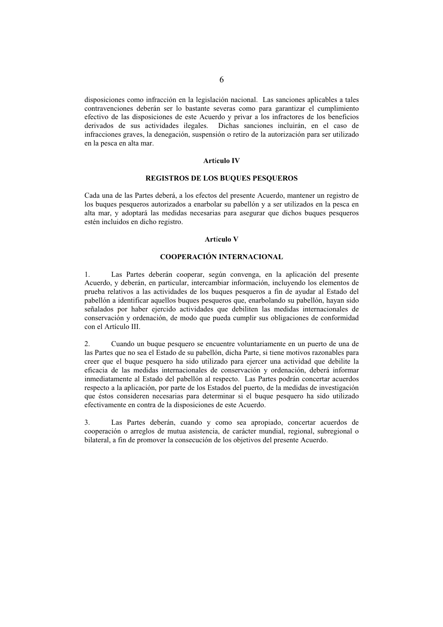disposiciones como infracción en la legislación nacional. Las sanciones aplicables a tales contravenciones deberán ser lo bastante severas como para garantizar el cumplimiento efectivo de las disposiciones de este Acuerdo y privar a los infractores de los beneficios derivados de sus actividades ilegales. Dichas sanciones incluirán, en el caso de infracciones graves, la denegación, suspensión o retiro de la autorización para ser utilizado en la pesca en alta mar.

#### **Art**í**culo IV**

## **REGISTROS DE LOS BUQUES PESQUEROS**

Cada una de las Partes deberá, a los efectos del presente Acuerdo, mantener un registro de los buques pesqueros autorizados a enarbolar su pabellón y a ser utilizados en la pesca en alta mar, y adoptará las medidas necesarias para asegurar que dichos buques pesqueros estén incluidos en dicho registro.

## **Art**í**culo V**

# **COOPERACIÓN INTERNACIONAL**

1. Las Partes deberán cooperar, según convenga, en la aplicación del presente Acuerdo, y deberán, en particular, intercambiar información, incluyendo los elementos de prueba relativos a las actividades de los buques pesqueros a fin de ayudar al Estado del pabellón a identificar aquellos buques pesqueros que, enarbolando su pabellón, hayan sido señalados por haber ejercido actividades que debiliten las medidas internacionales de conservación y ordenación, de modo que pueda cumplir sus obligaciones de conformidad con el Artículo III.

2. Cuando un buque pesquero se encuentre voluntariamente en un puerto de una de las Partes que no sea el Estado de su pabellón, dicha Parte, si tiene motivos razonables para creer que el buque pesquero ha sido utilizado para ejercer una actividad que debilite la eficacia de las medidas internacionales de conservación y ordenación, deberá informar inmediatamente al Estado del pabellón al respecto. Las Partes podrán concertar acuerdos respecto a la aplicación, por parte de los Estados del puerto, de la medidas de investigación que éstos consideren necesarias para determinar si el buque pesquero ha sido utilizado efectivamente en contra de la disposiciones de este Acuerdo.

3. Las Partes deberán, cuando y como sea apropiado, concertar acuerdos de cooperación o arreglos de mutua asistencia, de carácter mundial, regional, subregional o bilateral, a fin de promover la consecución de los objetivos del presente Acuerdo.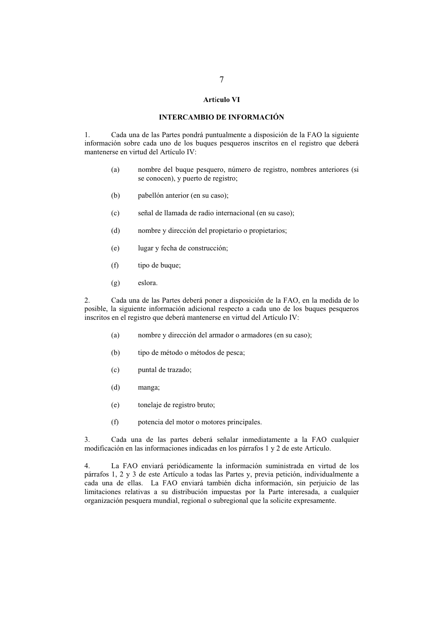#### **Art**í**culo VI**

## **INTERCAMBIO DE INFORMACIÓN**

1. Cada una de las Partes pondrá puntualmente a disposición de la FAO la siguiente información sobre cada uno de los buques pesqueros inscritos en el registro que deberá mantenerse en virtud del Artículo IV:

- (a) nombre del buque pesquero, número de registro, nombres anteriores (si se conocen), y puerto de registro;
- (b) pabellón anterior (en su caso);
- (c) señal de llamada de radio internacional (en su caso);
- (d) nombre y dirección del propietario o propietarios;
- (e) lugar y fecha de construcción;
- (f) tipo de buque;
- (g) eslora.

2. Cada una de las Partes deberá poner a disposición de la FAO, en la medida de lo posible, la siguiente información adicional respecto a cada uno de los buques pesqueros inscritos en el registro que deberá mantenerse en virtud del Artículo IV:

- (a) nombre y dirección del armador o armadores (en su caso);
- (b) tipo de método o métodos de pesca;
- (c) puntal de trazado;
- (d) manga;
- (e) tonelaje de registro bruto;
- (f) potencia del motor o motores principales.

3. Cada una de las partes deberá señalar inmediatamente a la FAO cualquier modificación en las informaciones indicadas en los párrafos 1 y 2 de este Artículo.

4. La FAO enviará periódicamente la información suministrada en virtud de los párrafos 1, 2 y 3 de este Artículo a todas las Partes y, previa petición, individualmente a cada una de ellas. La FAO enviará también dicha información, sin perjuicio de las limitaciones relativas a su distribución impuestas por la Parte interesada, a cualquier organización pesquera mundial, regional o subregional que la solicite expresamente.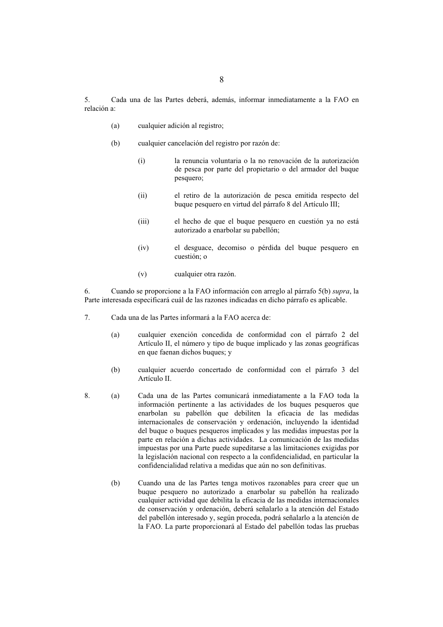5. Cada una de las Partes deberá, además, informar inmediatamente a la FAO en relación a:

- (a) cualquier adición al registro;
- (b) cualquier cancelación del registro por razón de:
	- (i) la renuncia voluntaria o la no renovación de la autorización de pesca por parte del propietario o del armador del buque pesquero;
	- (ii) el retiro de la autorización de pesca emitida respecto del buque pesquero en virtud del párrafo 8 del Artículo III;
	- (iii) el hecho de que el buque pesquero en cuestión ya no está autorizado a enarbolar su pabellón;
	- (iv) el desguace, decomiso o pérdida del buque pesquero en cuestión; o
	- (v) cualquier otra razón.

6. Cuando se proporcione a la FAO información con arreglo al párrafo 5(b) *supra*, la Parte interesada especificará cuál de las razones indicadas en dicho párrafo es aplicable.

- 7. Cada una de las Partes informará a la FAO acerca de:
	- (a) cualquier exención concedida de conformidad con el párrafo 2 del Artículo II, el número y tipo de buque implicado y las zonas geográficas en que faenan dichos buques; y
	- (b) cualquier acuerdo concertado de conformidad con el párrafo 3 del Artículo II.
- 8. (a) Cada una de las Partes comunicará inmediatamente a la FAO toda la información pertinente a las actividades de los buques pesqueros que enarbolan su pabellón que debiliten la eficacia de las medidas internacionales de conservación y ordenación, incluyendo la identidad del buque o buques pesqueros implicados y las medidas impuestas por la parte en relación a dichas actividades. La comunicación de las medidas impuestas por una Parte puede supeditarse a las limitaciones exigidas por la legislación nacional con respecto a la confidencialidad, en particular la confidencialidad relativa a medidas que aún no son definitivas.
	- (b) Cuando una de las Partes tenga motivos razonables para creer que un buque pesquero no autorizado a enarbolar su pabellón ha realizado cualquier actividad que debilita la eficacia de las medidas internacionales de conservación y ordenación, deberá señalarlo a la atención del Estado del pabellón interesado y, según proceda, podrá señalarlo a la atención de la FAO. La parte proporcionará al Estado del pabellón todas las pruebas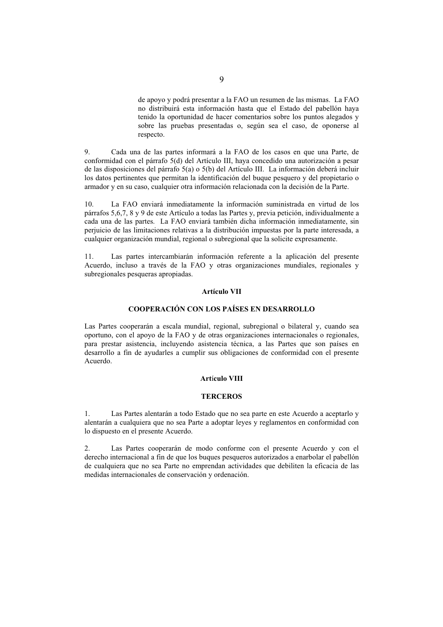de apoyo y podrá presentar a la FAO un resumen de las mismas. La FAO no distribuirá esta información hasta que el Estado del pabellón haya tenido la oportunidad de hacer comentarios sobre los puntos alegados y sobre las pruebas presentadas o, según sea el caso, de oponerse al respecto.

9. Cada una de las partes informará a la FAO de los casos en que una Parte, de conformidad con el párrafo 5(d) del Artículo III, haya concedido una autorización a pesar de las disposiciones del párrafo 5(a) o 5(b) del Artículo III. La información deberá incluir los datos pertinentes que permitan la identificación del buque pesquero y del propietario o armador y en su caso, cualquier otra información relacionada con la decisión de la Parte.

10. La FAO enviará inmediatamente la información suministrada en virtud de los párrafos 5,6,7, 8 y 9 de este Artículo a todas las Partes y, previa petición, individualmente a cada una de las partes. La FAO enviará también dicha información inmediatamente, sin perjuicio de las limitaciones relativas a la distribución impuestas por la parte interesada, a cualquier organización mundial, regional o subregional que la solicite expresamente.

11. Las partes intercambiarán información referente a la aplicación del presente Acuerdo, incluso a través de la FAO y otras organizaciones mundiales, regionales y subregionales pesqueras apropiadas.

## **Artículo VII**

## **COOPERACIÓN CON LOS PAÍSES EN DESARROLLO**

Las Partes cooperarán a escala mundial, regional, subregional o bilateral y, cuando sea oportuno, con el apoyo de la FAO y de otras organizaciones internacionales o regionales, para prestar asistencia, incluyendo asistencia técnica, a las Partes que son países en desarrollo a fin de ayudarles a cumplir sus obligaciones de conformidad con el presente Acuerdo.

## **Art**í**culo VIII**

#### **TERCEROS**

1. Las Partes alentarán a todo Estado que no sea parte en este Acuerdo a aceptarlo y alentarán a cualquiera que no sea Parte a adoptar leyes y reglamentos en conformidad con lo dispuesto en el presente Acuerdo.

2. Las Partes cooperarán de modo conforme con el presente Acuerdo y con el derecho internacional a fin de que los buques pesqueros autorizados a enarbolar el pabellón de cualquiera que no sea Parte no emprendan actividades que debiliten la eficacia de las medidas internacionales de conservación y ordenación.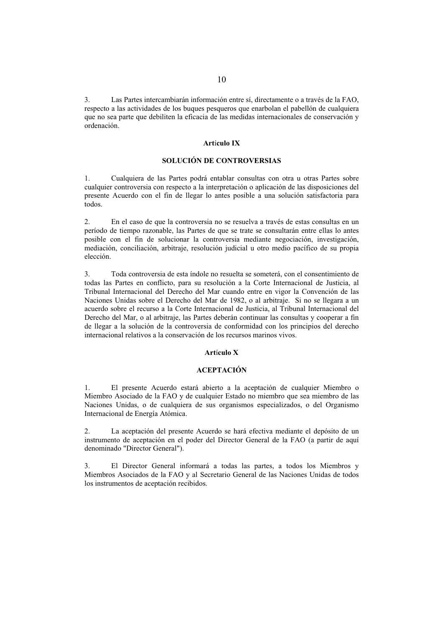3. Las Partes intercambiarán información entre sí, directamente o a través de la FAO, respecto a las actividades de los buques pesqueros que enarbolan el pabellón de cualquiera que no sea parte que debiliten la eficacia de las medidas internacionales de conservación y ordenación.

## **Art**í**culo IX**

#### **SOLUCIÓN DE CONTROVERSIAS**

1. Cualquiera de las Partes podrá entablar consultas con otra u otras Partes sobre cualquier controversia con respecto a la interpretación o aplicación de las disposiciones del presente Acuerdo con el fin de llegar lo antes posible a una solución satisfactoria para todos.

2. En el caso de que la controversia no se resuelva a través de estas consultas en un período de tiempo razonable, las Partes de que se trate se consultarán entre ellas lo antes posible con el fin de solucionar la controversia mediante negociación, investigación, mediación, conciliación, arbitraje, resolución judicial u otro medio pacífico de su propia elección.

3. Toda controversia de esta índole no resuelta se someterá, con el consentimiento de todas las Partes en conflicto, para su resolución a la Corte Internacional de Justicia, al Tribunal Internacional del Derecho del Mar cuando entre en vigor la Convención de las Naciones Unidas sobre el Derecho del Mar de 1982, o al arbitraje. Si no se llegara a un acuerdo sobre el recurso a la Corte Internacional de Justicia, al Tribunal Internacional del Derecho del Mar, o al arbitraje, las Partes deberán continuar las consultas y cooperar a fin de llegar a la solución de la controversia de conformidad con los principios del derecho internacional relativos a la conservación de los recursos marinos vivos.

#### **Art**í**culo X**

## **ACEPTACIÓN**

1. El presente Acuerdo estará abierto a la aceptación de cualquier Miembro o Miembro Asociado de la FAO y de cualquier Estado no miembro que sea miembro de las Naciones Unidas, o de cualquiera de sus organismos especializados, o del Organismo Internacional de Energía Atómica.

2. La aceptación del presente Acuerdo se hará efectiva mediante el depósito de un instrumento de aceptación en el poder del Director General de la FAO (a partir de aquí denominado "Director General").

3. El Director General informará a todas las partes, a todos los Miembros y Miembros Asociados de la FAO y al Secretario General de las Naciones Unidas de todos los instrumentos de aceptación recibidos.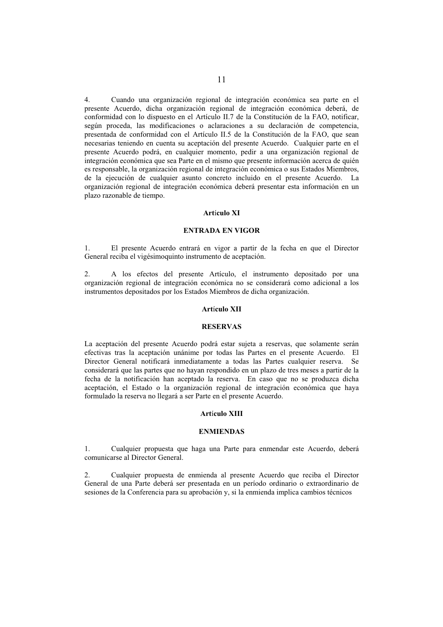4. Cuando una organización regional de integración económica sea parte en el presente Acuerdo, dicha organización regional de integración económica deberá, de conformidad con lo dispuesto en el Artículo II.7 de la Constitución de la FAO, notificar, según proceda, las modificaciones o aclaraciones a su declaración de competencia, presentada de conformidad con el Artículo II.5 de la Constitución de la FAO, que sean necesarias teniendo en cuenta su aceptación del presente Acuerdo. Cualquier parte en el presente Acuerdo podrá, en cualquier momento, pedir a una organización regional de integración económica que sea Parte en el mismo que presente información acerca de quién es responsable, la organización regional de integración económica o sus Estados Miembros, de la ejecución de cualquier asunto concreto incluido en el presente Acuerdo. La organización regional de integración económica deberá presentar esta información en un plazo razonable de tiempo.

#### **Art**í**culo XI**

#### **ENTRADA EN VIGOR**

1. El presente Acuerdo entrará en vigor a partir de la fecha en que el Director General reciba el vigésimoquinto instrumento de aceptación.

2. A los efectos del presente Artículo, el instrumento depositado por una organización regional de integración económica no se considerará como adicional a los instrumentos depositados por los Estados Miembros de dicha organización.

#### **Art**í**culo XII**

## **RESERVAS**

La aceptación del presente Acuerdo podrá estar sujeta a reservas, que solamente serán efectivas tras la aceptación unánime por todas las Partes en el presente Acuerdo. El Director General notificará inmediatamente a todas las Partes cualquier reserva. Se considerará que las partes que no hayan respondido en un plazo de tres meses a partir de la fecha de la notificación han aceptado la reserva. En caso que no se produzca dicha aceptación, el Estado o la organización regional de integración económica que haya formulado la reserva no llegará a ser Parte en el presente Acuerdo.

## **Art**í**culo XIII**

## **ENMIENDAS**

1. Cualquier propuesta que haga una Parte para enmendar este Acuerdo, deberá comunicarse al Director General.

2. Cualquier propuesta de enmienda al presente Acuerdo que reciba el Director General de una Parte deberá ser presentada en un período ordinario o extraordinario de sesiones de la Conferencia para su aprobación y, si la enmienda implica cambios técnicos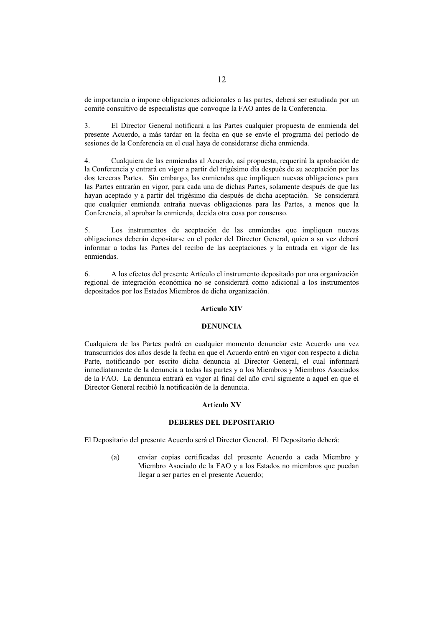de importancia o impone obligaciones adicionales a las partes, deberá ser estudiada por un comité consultivo de especialistas que convoque la FAO antes de la Conferencia.

3. El Director General notificará a las Partes cualquier propuesta de enmienda del presente Acuerdo, a más tardar en la fecha en que se envíe el programa del período de sesiones de la Conferencia en el cual haya de considerarse dicha enmienda.

4. Cualquiera de las enmiendas al Acuerdo, así propuesta, requerirá la aprobación de la Conferencia y entrará en vigor a partir del trigésimo día después de su aceptación por las dos terceras Partes. Sin embargo, las enmiendas que impliquen nuevas obligaciones para las Partes entrarán en vigor, para cada una de dichas Partes, solamente después de que las hayan aceptado y a partir del trigésimo día después de dicha aceptación. Se considerará que cualquier enmienda entraña nuevas obligaciones para las Partes, a menos que la Conferencia, al aprobar la enmienda, decida otra cosa por consenso.

5. Los instrumentos de aceptación de las enmiendas que impliquen nuevas obligaciones deberán depositarse en el poder del Director General, quien a su vez deberá informar a todas las Partes del recibo de las aceptaciones y la entrada en vigor de las enmiendas.

6. A los efectos del presente Artículo el instrumento depositado por una organización regional de integración económica no se considerará como adicional a los instrumentos depositados por los Estados Miembros de dicha organización.

## **Art**í**culo XIV**

## **DENUNCIA**

Cualquiera de las Partes podrá en cualquier momento denunciar este Acuerdo una vez transcurridos dos años desde la fecha en que el Acuerdo entró en vigor con respecto a dicha Parte, notificando por escrito dicha denuncia al Director General, el cual informará inmediatamente de la denuncia a todas las partes y a los Miembros y Miembros Asociados de la FAO. La denuncia entrará en vigor al final del año civil siguiente a aquel en que el Director General recibió la notificación de la denuncia.

#### **Art**í**culo XV**

## **DEBERES DEL DEPOSITARIO**

El Depositario del presente Acuerdo será el Director General. El Depositario deberá:

 (a) enviar copias certificadas del presente Acuerdo a cada Miembro y Miembro Asociado de la FAO y a los Estados no miembros que puedan llegar a ser partes en el presente Acuerdo;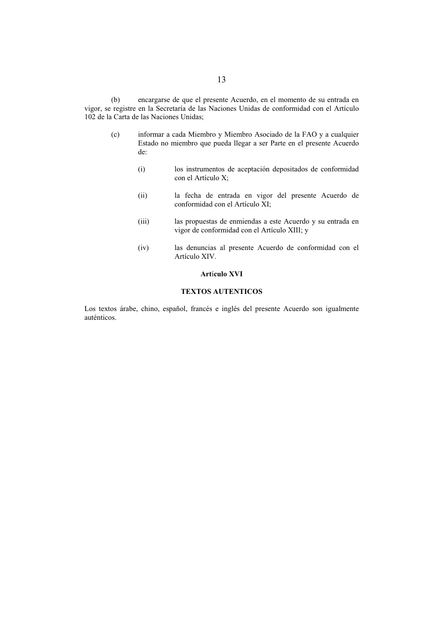(b) encargarse de que el presente Acuerdo, en el momento de su entrada en vigor, se registre en la Secretaría de las Naciones Unidas de conformidad con el Artículo 102 de la Carta de las Naciones Unidas;

- (c) informar a cada Miembro y Miembro Asociado de la FAO y a cualquier Estado no miembro que pueda llegar a ser Parte en el presente Acuerdo de:
	- (i) los instrumentos de aceptación depositados de conformidad con el Artículo X;
	- (ii) la fecha de entrada en vigor del presente Acuerdo de conformidad con el Artículo XI;
	- (iii) las propuestas de enmiendas a este Acuerdo y su entrada en vigor de conformidad con el Artículo XIII; y
	- (iv) las denuncias al presente Acuerdo de conformidad con el Artículo XIV.

## **Art**í**culo XVI**

## **TEXTOS AUTENTICOS**

Los textos árabe, chino, español, francés e inglés del presente Acuerdo son igualmente auténticos.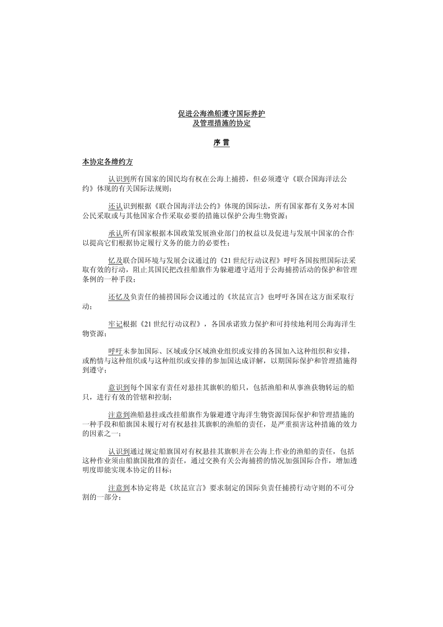## 促进公海渔船遵守国际养护 及管理措施的协定

## 序言

## 本协定各缔约方

认识到所有国家的国民均有权在公海上捕捞, 但必须遵守《联合国海洋法公 约》体现的有关国际法规则:

还认识到根据《联合国海洋法公约》体现的国际法,所有国家都有义务对本国 公民采取或与其他国家合作采取必要的措施以保护公海生物资源;

承认所有国家根据本国政策发展渔业部门的权益以及促进与发展中国家的合作 以提高它们根据协定履行义务的能力的必要性;

忆及联合国环境与发展会议通过的《21 世纪行动议程》呼吁各国按照国际法采 取有效的行动, 阳止其国民把改挂船旗作为躲避遵守适用于公海捕捞活动的保护和管理 条例的一种手段:

还忆及负责任的捕捞国际会议通过的《坎昆宣言》也呼吁各国在这方面采取行 动:

牢记根据《21 世纪行动议程》, 各国承诺致力保护和可持续地利用公海海洋生 物资源;

呼吁未参加国际、区域或分区域渔业组织或安排的各国加入这种组织和安排, 或酌情与这种组织或与外或安排的参加国达成详解, 以期国际保护和管理措施得 到谭守:

意识到每个国家有责任对悬挂其旗帜的船只, 包括渔船和从事渔获物转运的船 只, 讲行有效的管辖和控制:

注意到渔船悬挂或改挂船旗作为躲避遵守海洋生物资源国际保护和管理措施的 一种手段和船旗国未履行对有权悬挂其旗帜的渔船的责任, 是严重损害这种措施的效力 的因素之一:

认识到通过规定船旗国对有权悬挂其旗帜并在公海上作业的渔船的责任, 包括 这种作业须由船旗国批准的责任, 通过交换有关公海捕捞的情况加强国际合作, 增加透 明度即能实现本协定的目标;

注意到本协定将是《坎昆宣言》要求制定的国际负责任捕捞行动守则的不可分 割的一部分: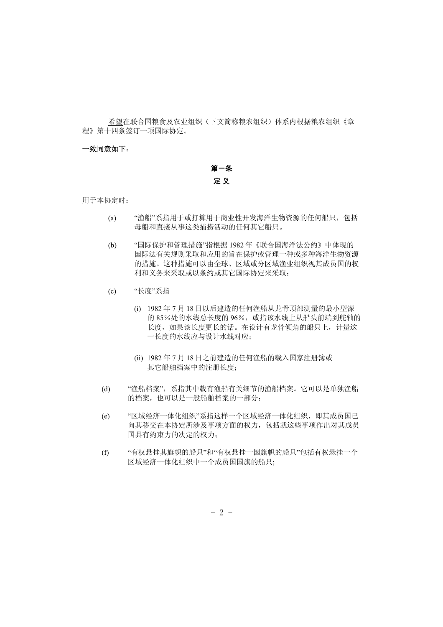希望在联合国粮食及农业组织(下文简称粮农组织)体系内根据粮农组织《章 程》第十四条签订一项国际协定。

## 一致同意如下:



用于本协定时:

- (a) "渔船"系指用于或打算用于商业性开发海洋生物资源的任何船只, 包括 母船和直接从事这类捕捞活动的任何其它船只。
- (b) "国际保护和管理措施"指根据 1982 年《联合国海洋法公约》中体现的 国际法有关规则采取和应用的旨在保护或管理一种或多种海洋生物资源 的措施。这种措施可以由全球、区域或分区域渔业组织视其成员国的权 利和义务来采取或以条约或其它国际协定来采取;
- (c) "长度"系指
	- (i) 1982年7月18日以后建造的任何渔船从龙骨顶部测量的最小型深 的 85%处的水线总长度的 96%, 或指该水线上从船头前端到舵轴的 长度,如果该长度更长的话。在设计有龙骨倾角的船只上,计量这 一长度的水线应与设计水线对应:
	- (ii) 1982年7月18日之前建造的任何渔船的载入国家注册簿或 其它船舶档案中的注册长度;
- (d) "渔船档案",系指其中载有渔船有关细节的渔船档案。它可以是单独渔船 的档案,也可以是一般船舶档案的一部分;
- (e) "区域经济一体化组织"系指这样一个区域经济一体化组织, 即其成员国已 向其移交在本协定所涉及事项方面的权力,包括就这些事项作出对其成员 国具有约束力的决定的权力;
- (f) "有权悬挂其旗帜的船只"和"有权悬挂一国旗帜的船只"包括有权悬挂一个 区域经济一体化组织中一个成员国国旗的船只;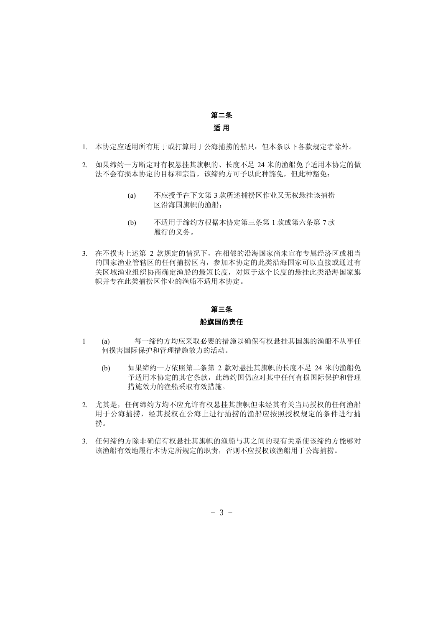# 第二条 活用

- 1. 本协定应适用所有用于或打算用于公海捕捞的船只; 但本条以下各款规定者除外。
- 2. 如果缔约一方断定对有权悬挂其旗帜的、长度不足 24 米的渔船免予适用本协定的做 法不会有损本协定的目标和宗旨,该缔约方可予以此种豁免,但此种豁免:
	- (a) 不应授予在下文第3款所述捕捞区作业又无权悬挂该捕捞 区沿海国旗帜的渔船:
	- (b) 不适用于缔约方根据本协定第三条第 1 款或第六条第 7 款 履行的义务。
- 3 在不损害上述第 2 款规定的情况下, 在相邻的沿海国家尚未宣布专属经济区或相当 的国家渔业管辖区的任何捕捞区内,参加本协定的此类沿海国家可以直接或通过有 关区域渔业组织协商确定渔船的最短长度,对短于这个长度的悬挂此类沿海国家旗 帜并专在此类捕捞区作业的渔船不适用本协定。

# 第三条 船旗国的责任

- 1 (a) 每一缔约方均应采取必要的措施以确保有权悬挂基国旗的渔船不从事任 何损害国际保护和管理措施效力的活动。
	- (b) 如果缔约一方依照第二条第 2 款对悬挂其旗帜的长度不足 24 米的渔船免 予适用本协定的其它条款, 此缔约国仍应对其中任何有损国际保护和管理 措施效力的渔船采取有效措施。
- 2. 尤其是,任何缔约方均不应允许有权悬挂其旗帜但未经其有关当局授权的任何渔船 用于公海捕捞, 经其授权在公海上进行捕捞的渔船应按照授权规定的条件进行捕 捞。
- 3. 任何缔约方除非确信有权悬挂其旗帜的渔船与其之间的现有关系使该缔约方能够对 该渔船有效地履行本协定所规定的职责,否则不应授权该渔船用于公海捕捞。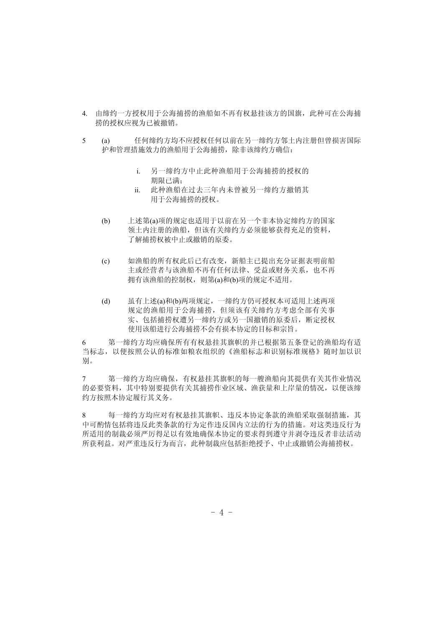- 4. 由缔约一方授权用于公海捕捞的渔船如不再有权悬挂该方的国旗,此种可在公海捕 捞的授权应视为已被撤销。
- 5 (a) 任何缔约方均不应授权任何以前在另一缔约方邻土内注册但曾损害国际 护和管理措施效力的渔船用于公海捕捞, 除非该缔约方确信:
	- i. 另一缔约方中止此种渔船用于公海捕捞的授权的 期限已满:
	- ii. 此种渔船在过去三年内未曾被另一缔约方撤销其 用于公海捕捞的授权。
	- (b) 上述第(a)项的规定也适用于以前在另一个非本协定缔约方的国家 领土内注册的渔船, 但该有关缔约方必须能够获得充足的资料, 了解捕捞权被中止或撤销的原委。
	- (c) 如渔船的所有权此后已有改变, 新船主已提出充分证据表明前船 主或经营者与该渔船不再有任何法律、受益或财务关系, 也不再 拥有该渔船的控制权, 则第(a)和(b)项的规定不适用。
	- (d) 虽有上述(a)和(b)两项规定, 一缔约方仍可授权本可适用上述两项 规定的渔船用于公海捕捞, 但须该有关缔约方考虑全部有关事 实、包括捕捞权遭另一缔约方或另一国撤销的原委后, 断定授权 使用该船进行公海捕捞不会有损本协定的目标和宗旨。

6 第一缔约方均应确保所有有权悬挂其旗帜的并已根据第五条登记的渔船均有适 当标志,以便按照公认的标准如粮农组织的《渔船标志和识别标准规格》随时加以识 别。

7 第一缔约方均应确保, 有权悬挂其旗帜的每一艘渔船向其提供有关其作业情况 的必要资料, 其中特别要提供有关其捕捞作业区域、渔获量和上岸量的情况, 以便该缔 约方按照本协定履行其义务。

8 每一缔约方均应对有权悬挂其旗帜、违反本协定条款的渔船采取强制措施, 其 中可酌情包括将方便坐茶熬的行为定作违反国内立法的行为的措施。对这类违反行为 所适用的制裁必须严厉得足以有效地确保本协定的要求得到遵守并剥夺违反者非法活动 所获利益。对严重违反行为而言, 此种制裁应包括拒绝授予、中止或撤销公海捕捞权。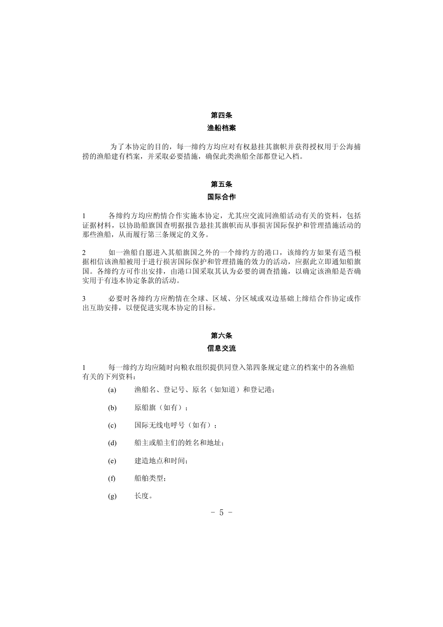# 第四条 渔船档案

为了本协定的目的, 每一缔约方均应对有权悬挂其旗帜并获得授权用于公海捕 捞的渔船建有档案,并采取必要措施,确保此类渔船全部都登记入档。

# 第五条 国际合作

1 各缔约方均应酌情合作实施本协定,尤其应交流同渔船活动有关的资料,包括 证据材料,以协助船旗国杳明据报告悬挂其旗帜而从事损害国际保护和管理措施活动的 那些渔船, 从而履行第三条规定的义务。

2 如一渔船自愿进入其船旗国之外的一个缔约方的港口,该缔约方如果有适当根 据相信该渔船被用于进行损害国际保护和管理措施的效力的活动,应据此立即通知船旗 国。各缔约方可作出安排,由港口国采取其认为必要的调查措施,以确定该渔船是否确 实用于有违本协定条款的活动。

3 必要时各缔约方应酌情在全球、区域、分区域或双边基础上缔结合作协定或作 出互助安排, 以便促进实现本协定的目标。

# 第六条 信息交流

1 每一缔约方均应随时向粮农组织提供同登入第四条规定建立的档案中的各渔船 有关的下列资料:

- (a) 渔船名、登记号、原名(如知道)和登记港;
- (b) 原船旗 (如有):
- (c) 国际无线电呼号(如有);
- (d) 船主或船主们的姓名和地址;
- (e) 建造地点和时间;
- (f) 船舶类型:
- (g) 长度。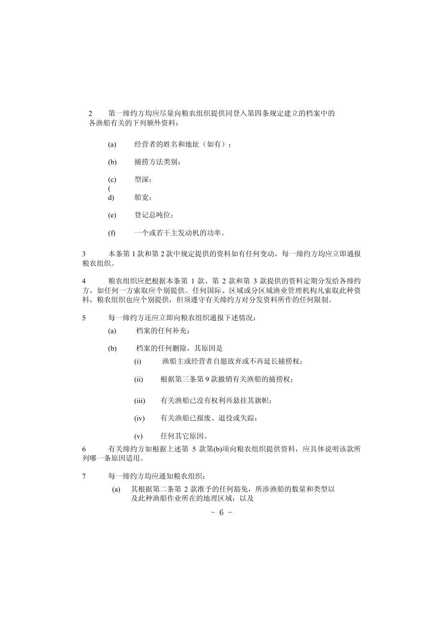2 第一缔约方均应尽量向粮农组织提供同登入第四条规定建立的档案中的 各渔船有关的下列额外资料:

- (a) 经营者的姓名和地址 (如有):
- (b) 捕捞方法类别;
- (c) 型深:
- d) 船宽;

(

- (e) 登记总吨位;
- (f) 一个或若干主发动机的功率。

3 本条第1款和第2款中规定提供的资料如有任何变动,每一缔约方均应立即通报 粮农组织。

4 粮农组织应把根据本条第 1 款、第 2 款和第 3 款提供的资料定期分发给各缔约 方,如任何一方索取应个别提供。任何国际、区域或分区域渔业管理机构凡索取此种资 料, 粮农组织也应个别提供, 但须遵守有关缔约方对分发资料所作的任何限制。

- 5 每一缔约方还应立即向粮农组织通报下述情况:
	- (a) 档案的任何补充:
	- (b) 档案的任何删除, 其原因是
		- (i) 渔船主或经营者自愿放弃或不再延长捕捞权;
		- (ii) 根据第三条第9款撤销有关渔船的捕捞权;
		- (iii) 有关渔船已没有权利再悬挂其旗帜;
		- (iv) 有关渔船已报废、退役或失踪;
		- (v) 任何其它原因。

6 有关缔约方如根据上述第 5 款第(b)项向粮农组织提供资料, 应具体说明该款所 列哪一条原因适用。

- 7 每一缔约方均应通知粮农组织:
	- (a) 其根据第二条第 2 款准予的任何豁免, 所涉渔船的数量和类型以 及此种渔船作业所在的地理区域:以及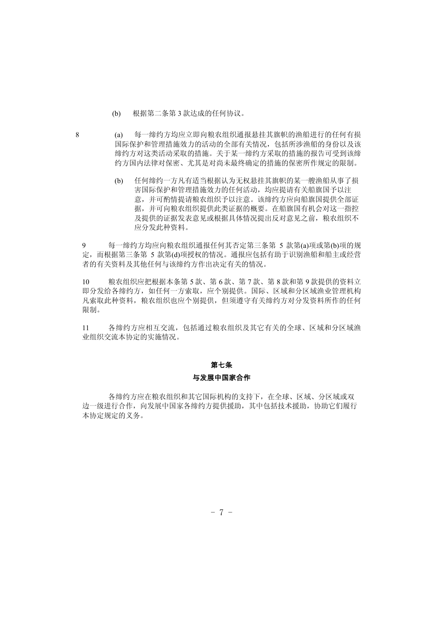- (b) 根据第二条第3款达成的任何协议。
- 

8 (a) 每一缔约方均应立即向粮农组织通报悬挂其旗帜的渔船进行的任何有损 国际保护和管理措施效力的活动的全部有关情况, 包括所涉渔船的身份以及该 缔约方对这类活动采取的措施。关于某一缔约方采取的措施的报告可受到该缔 约方国内法律对保密、尤其是对尚未最终确定的措施的保密所作规定的限制。

> (b) 任何缔约一方凡有适当根据认为无权悬挂其旗帜的某一艘渔船从事了损 害国际保护和管理措施效力的任何活动,均应提请有关船旗国予以注 意,并可酌情提请粮农组织予以注意。该缔约方应向船旗国提供全部证 据,并可向粮农组织提供此类证据的概要。在船旗国有机会对这一指控 及提供的证据发表意见或根据具体情况提出反对意见之前, 粮农组织不 应分发此种资料。

9 每一缔约方均应向粮农组织通报任何其否定第三条第 5 款第(a)项或第(b)项的规 定,而根据第三条第5 款第(d)项授权的情况。通报应包括有助于识别渔船和船主或经营 者的有关资料及其他任何与该缔约方作出决定有关的情况。

10 粮农组织应把根据本条第5款、第6款、第7款、第8款和第9款提供的资料立 即分发给各缔约方, 如任何一方索取, 应个别提供。国际、区域和分区域渔业管理机构 凡索取此种资料,粮农组织也应个别提供,但须遵守有关缔约方对分发资料所作的任何 限制。

11 各缔约方应相互交流, 包括通过粮农组织及其它有关的全球、区域和分区域渔 业组织交流本协定的实施情况。

# 第七条 与发展中国家合作

各缔约方应在粮农组织和其它国际机构的支持下, 在全球、区域、分区域或双 边一级进行合作, 向发展中国家各缔约方提供援助, 其中包括技术援助, 协助它们履行 本协定规定的义务。

 $-7-$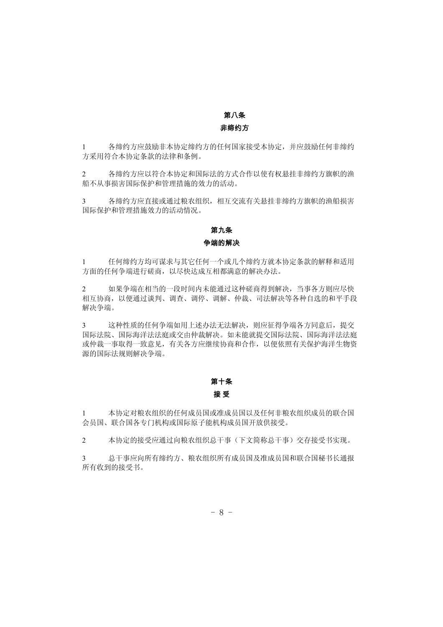# 第八条 非缔约方

1 各缔约方应鼓励非本协定缔约方的任何国家接受本协定,并应鼓励任何非缔约 方采用符合本协定条款的法律和条例。

2 各缔约方应以符合本协定和国际法的方式合作以使有权悬挂非缔约方旗帜的渔 船不从事损害国际保护和管理措施的效力的活动。

3 各缔约方应直接或通过粮农组织, 相互交流有关悬挂非缔约方旗帜的渔船损害 国际保护和管理措施效力的活动情况。

## 第九条 争端的解决

1 任何缔约方均可谋求与其它任何一个或几个缔约方就本协定条款的解释和适用 方面的任何争端进行磋商,以尽快达成互相都满意的解决办法。

2 如果争端在相当的一段时间内未能通过这种磋商得到解决,当事各方则应尽快 相互协商,以便通过谈判、调杳、调停、调解、仲裁、司法解决等各种自选的和平手段 解决争端。

3 这种性质的任何争端如用上述办法无法解决, 则应征得争端各方同意后, 提交 国际法院、国际海洋法法庭或交由仲裁解决。如未能就提交国际法院、国际海洋法法庭 或仲裁一事取得一致意见, 有关各方应继续协商和合作, 以便依照有关保护海洋生物资 源的国际法规则解决争端。

# 第十条 接 受

1 本协定对粮农组织的任何成员国或准成员国以及任何非粮农组织成员的联合国 会员国、联合国各专门机构或国际原子能机构成员国开放供接受。

2 本协定的接受应通过向粮农组织总干事(下文简称总干事) 交存接受书实现。

3 总干事应向所有缔约方、粮农组织所有成员国及准成员国和联合国秘书长通报 所有收到的接受书。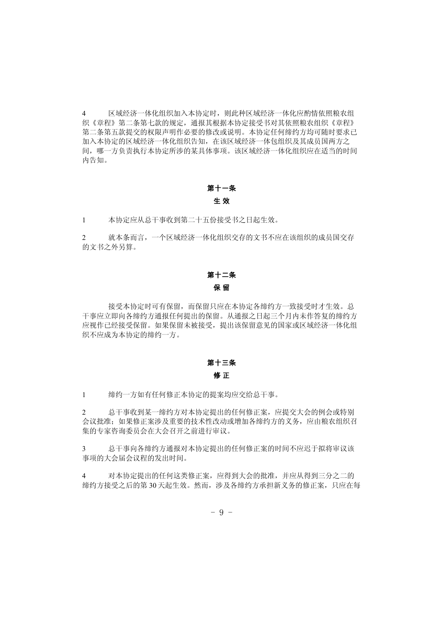4 区域经济一体化组织加入本协定时, 则此种区域经济一体化应酌情依照粮农组 织《章程》第二条第七款的规定,通报其根据本协定接受书对其依照粮农组织《章程》 第二条第五款提交的权限声明作必要的修改或说明。本协定任何缔约方均可随时要求已 加入本协定的区域经济一体化组织告知, 在该区域经济一体包组织及其成员国两方之 间,哪一方负责执行本协定所涉的某具体事项。该区域经济一体化组织应在适当的时间 内告知。

# 第十一条 生效

1 本协定应从总干事收到第二十五份接受书之日起生效。

2 就本条而言, 一个区域经济一体化组织交存的文书不应在该组织的成员国交存 的文书之外另算。

# 第十二条 保留

接受本协定时可有保留,而保留只应在本协定各缔约方一致接受时才生效。总 干事应立即向各缔约方通报任何提出的保留。从通报之日起三个月内未作答复的缔约方 应视作已经接受保留。如果保留未被接受, 提出该保留意见的国家或区域经济一体化组 织不应成为本协定的缔约一方。

# 第十三条 修正

1 缔约一方如有任何修正本协定的提案均应交给总干事。

2 总干事收到某一缔约方对本协定提出的任何修正案, 应提交大会的例会或特别 会议批准: 如果修正案涉及重要的技术性改动或增加各缔约方的义务, 应由粮农组织召 集的专家咨询委员会在大会召开之前进行审议。

3 总干事向各缔约方通报对本协定提出的任何修正案的时间不应迟于拟将审议该 事项的大会届会议程的发出时间。

4 对本协定提出的任何这类修正案, 应得到大会的批准, 并应从得到三分之二的 缔约方接受之后的第30天起生效。然而,涉及各缔约方承担新义务的修正案,只应在每

 $-9-$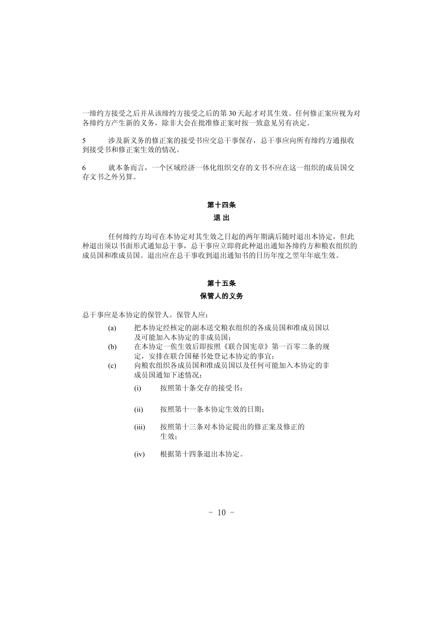一缔约方接受之后的第30天起才对其生效。任何修正案应视为对 各缔约方产生新的义务,除非大会在批准修正案时按一致意见另有决定。

5 涉及新义务的修正案的接受书应交总干事保存, 总干事应向所有缔约方通报收 到接受书和修正案生效的情况。

6 就本条而言, 一个区域经济一体化组织交存的文书不应在这一组织的成员国交 存文书之外另算。

#### 第十四条

## 退出

任何缔约方均可在本协定对其生效之日起的两年期满后随时退出本协定,但此 种退出须以书面形式通知总干事, 总干事应立即将此种退出通知各缔约方和粮农组织的 成员国和准成员国。退出应在总干事收到退出通知书的日历年度之翌年年底生效。

# 第十五条 保管人的义务

总干事应是本协定的保管人。保管人应:

- (a) 把本协定经核定的副本送交粮农组织的各成员国和准成员国以 及可能加入本协定的非成员国;
- (b) 在本协定一俟生效后即按照《联合国宪章》第一百零二条的规 定, 安排在联合国秘书处登记本协定的事宜;
- (c) 向粮农组织各成员国和准成员国以及任何可能加入本协定的非 成员国通知下述情况:
	- (i) 按照第十条交存的接受书;
	- (ii) 按照第十一条本协定生效的日期;
	- (iii) 按照第十三条对本协定提出的修正案及修正的 生效:
	- (iv) 根据第十四条退出本协定。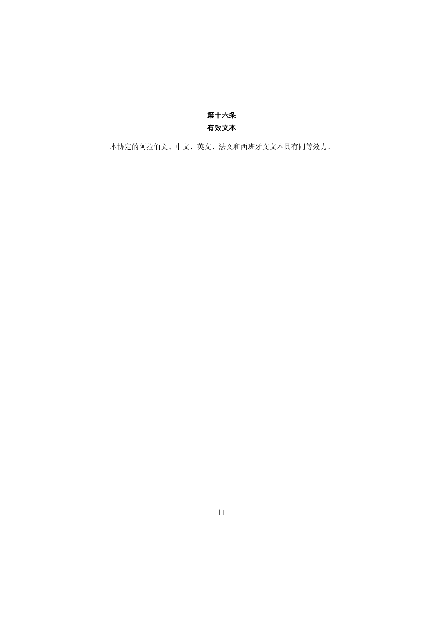

本协定的阿拉伯文、中文、英文、法文和西班牙文文本具有同等效力。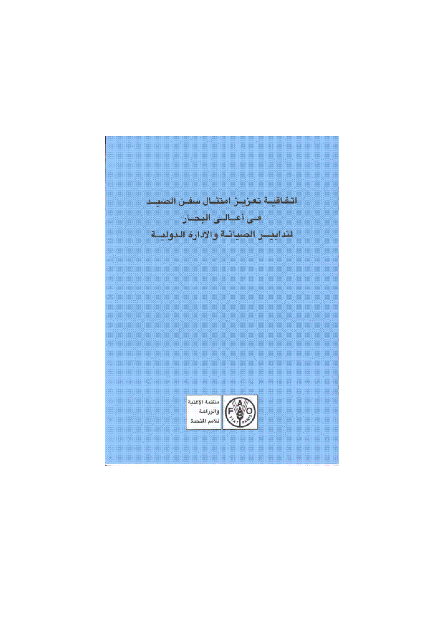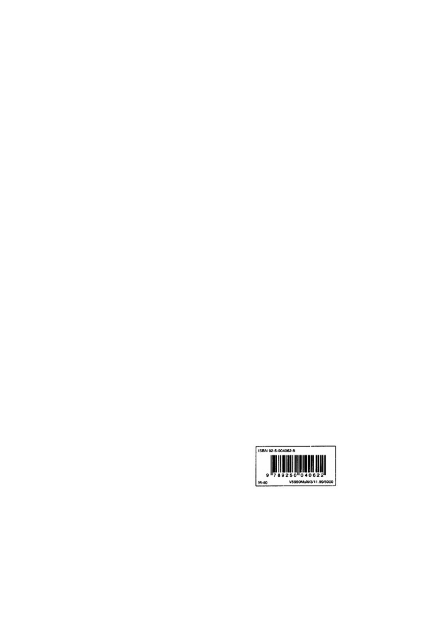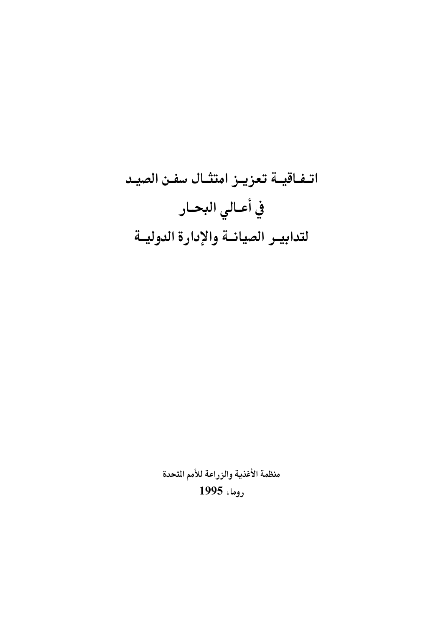# اتـفـاقيــة تعزيــز امتثــال سفـن الصيـد في أعــالي البحــار لتدابيـر الصيانــة والإدارة الدوليــة

منظمة الأغذية والزراعة للأمم المتحدة روما، 1995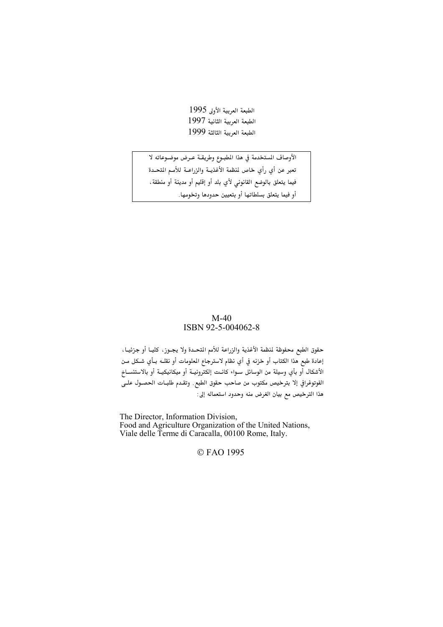الطبعة العربية الأولى 1995 الطبعة الع بية الثانية 1997 الطبعة العربية الثالثة 1999

.<br>الأوصاف المستخدمة في هذا المطبوع وطريقـة عـرض موضـوعاته لا تعبر عن أي رأي خاص لمنظمة الأغذيــة والزراعــة للأمـم المتحـدة فيما يتعلق بالوضع القانوني لأي بلد أو إقليم أو مدينة أو منطقة، أو فيما يتعلق بسلطاتها أو بتعيين حدودها وتخومها.

## $M-40$ ISBN 92-5-004062-8

حقوق الطبع محفوظة لمنظمة الأغذية والزراعة للأمم التحـدة ولا يجـوز، كليـا أو جزئيـا، إعادة طبع هذا الكتاب أو خزنه في أي نظام لاسترجاع المعلومات أو نقلـه بـأي شـكل مـن الأشكال أو بأي وسيلة من الوسائل سـواء كانـت إلكترونيـة أو ميكانيكيـة أو بالاستنسـاخ الفوتوغرافي إلا بترخيص مكتوب من صاحب حقوق الطبع. وتقدم طلبـات الحصـول علـى هذا الترخيص مع بيان الغرض منه وحدود استعماله إلى:

The Director, Information Division, Food and Agriculture Organization of the United Nations, Viale delle Terme di Caracalla, 00100 Rome, Italy.

© FAO 1995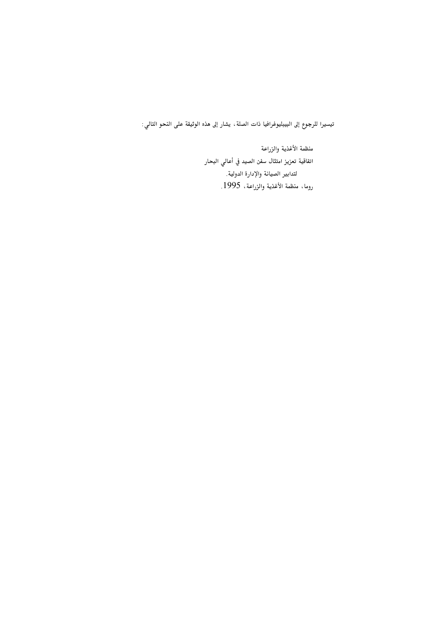تيسيرا للرجوع إلى البيبليوغرافيا ذات الصلة، يشار إلى هذه الوثيقة على النحو التالي:

منظمة الأغذية والزراعة اتفاقية تعزيز امتثال سفن الصيد في أعالي البحار .<br>لتدابير الصيانة والإدارة الدولية. روما، منظمة الأغذية والزراعة، 1995.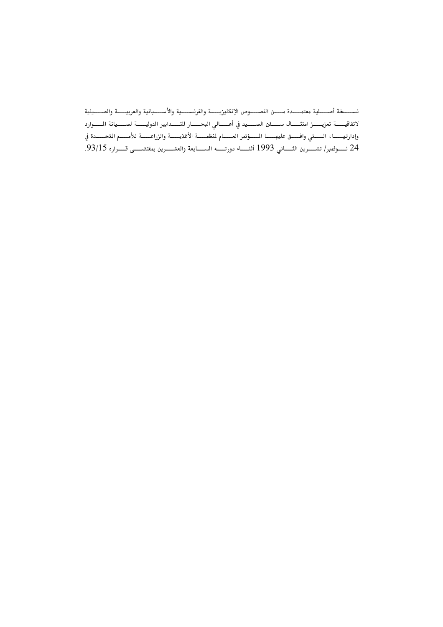نسسسخة أصسسلية معتمسسدة مسسن النصسسوص الإنكليزيسسة والفرنسسسية والأسسسبانية والعربيسسة والصسسينية لاتفاقيــــــــة تعزيــــــــز امتثــــــال ســــــف المــــــالي البحــــــار للتــــــدابير الدوليــــــة لصـــــيانة الـــــــوارد وإدارتهـــــا ، الـــــتي وافـــــق عليهــــــا الــــــؤتمر العــــــام لذظمـــــة الأغذيــــــة والزراعـــــة للأمـــــم التحــــــدة في .<br>24 نـــــوفمبر/ تشـــــــرين الثــــــاني 1993 أثنــــــاء دورتــــــه الســـــابعة والعشـــــرين بمقتضـــــي قـــــراره 93/15.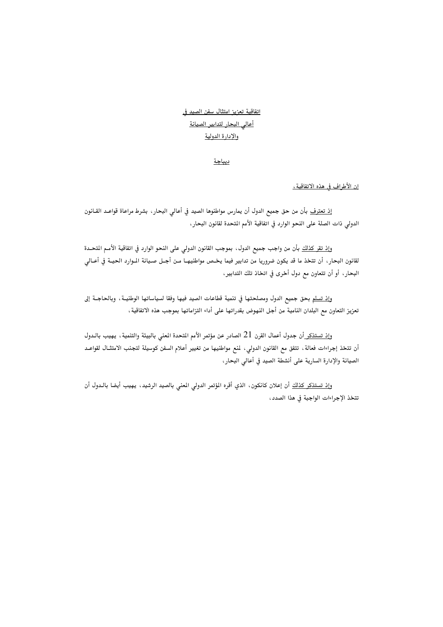<u>اتفاقية تعزيز امتثال سفن الصيد في</u> أعالى البحار لتدابير الصيانة والإدارة الدولية

ديباجة

إن الأطراف في هذه الاتفاقية،

إ<u>ذ تعترف</u> بأن من حق جميع الدول أن يمارس مواطنوها الصيد في أعال<sub>ى</sub> البحار ، بشرط مراعاة قواعـد القـانون الدولي ذات الصلة على النحو الوارد في اتفاقية الأمم المتحدة لقانون البحار،

<u>واذ تقر كذلك</u> بأن من واجب جميع الدول، بموجب القانون الدولي على النحو الوارد في اتفاقية الأمم التحـدة لقانون البحار ، أن تتخذ ما قد يكون ضروريا من تدابير فيما يخـص مواطنيهـا مـن أجـل صـيانة الــوارد الحيــة في أعــالى البحار، أو أن تتعاون مع دول أخرى في اتخاذ تلك التدابير،

و<u>اذ تسلم</u> بحق جميع الدول ومصلحتها في تنمية قطاعات الصيد فيها وفقا لسياساتها الوطنيـة، وبالحاجــة إلى تعزيز التعاون مع البلدان النامية من أجل النهوض بقدراتها على أداء التزاماتها بموجب هذه الاتفاقية ،

و<u>اذ تستذكر أ</u>ن جدول أعمال القرن 21 الصادر عن مؤتمر الأمم المتحدة العنى بالبيئة والتنمية ، يهيب بالـدول أن تتخذ إجراءات فعالة ، تتفق مع القانون الدولي ، لنع مواطنيها من تغيير أعلام السفن كوسيلة لتجنب الامتثـال لقواعـد الصيانة والإدارة السارية على أنشطة الصيد في أعالي البحار،

<u>وإذ تستذكر كذلك</u> أن إعلان كانكون، الذي أقره المؤتمر الدولى المعنى بالصيد الرشيد، يهيب أيضا بالـدول أن تتخذ الإجراءات الواجبة في هذا الصدد ،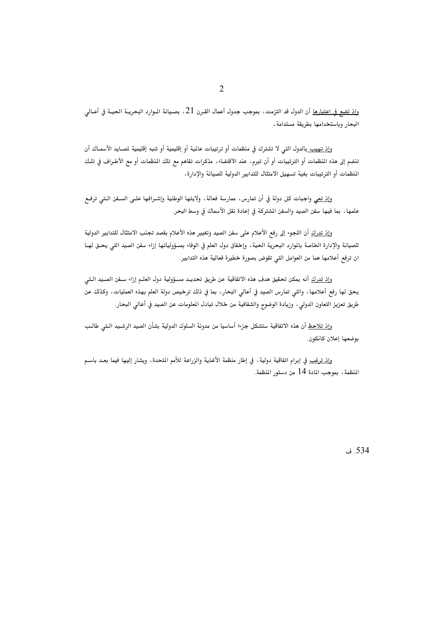<u>وإذ تضع في اعتبارها</u> أن الدول قد التزمت، بموجب جدول أعمال القرن 21، بصيانة الموارد البحريــة الحيــة في أعــالي البحار وباستخدامها بطريقة مستدامة ،

و<u>ا</u>ذ تهيب بالدول التي لا تشترك في منظمات أو ترتيبات عالية أو إقليمية أو شبه إقليمية لمسايد الأسمـاك أن تنضم إلى هذه المنظمات أو الترتيبات أو أن تبرم، عند الاقتضاء، مذكرات تفاهم مع تلك المنظمات أو مع الأطراف في تلك المنظمات أو الترتيبات بغية تسهيل الامتثال للتدابير الدولية للصيانة والإدارة،

<u>وإذ تعي</u> واجبات كل دولة في أن تمارس، ممارسة فعالة، ولايتها الوطنية وإشـرافها علـى السـفن الـتى ترفـع علمها ، بما فيها سفن الصيد والسفن المشتركة في إعادة نقل الأسماك في وسط البحر .

و<u>ا</u>ذ تدرك أن اللجوء إلى رفع الأعلام على سفن الصيد وتغيير هذه الأعلام بقصد تجنب الامتثال للتدابير الدولية للصيانة والإدارة الخاصة بالموارد البحرية الحية، وإخفاق دول العلم في الوفاء بمسؤولياتها إزاء سفن الصيد التي يحـق لهـا ان ترفع أعلامها هما من العوامل التي تقوض بصورة خطيرة فعالية هذه التدابير.

<u>وإذ تدرك</u> أنه يمكن تحقيق هدف هذه الاتفاقية عن طريق تحديـد مسـؤولية دول العلـم إزاء سـفن الصـيد الـتى يحق لها رفع أعلامها، والتي تمارس الصيد في أعالي البحار، بما في ذلك ترخيص دولة العلم بهذه العمليات، وكذلك عن طريق تعزيز التعاون الدولي، وزيادة الوضوح والشفافية من خلال تبادل المعلومات عن الصيد في أعالي البحار.

و<u>ا</u>ذ تلاحظ أن هذه الاتفاقية ستشكل جزءا أساسيا من مدونة السلوك الدولية بشأن الصيد الرشـيد الـتي طالـب بوضعها إعلان كانكون.

<u>وإذ ترغب</u> في إبرام اتفاقية دولية ، في إطار منظمة الأغذية والزراعة للأمم المتحدة ، ويشار إليها فيما بعـد باسـم المنظمة ، بموجب المادة 14 من دستور المنظمة .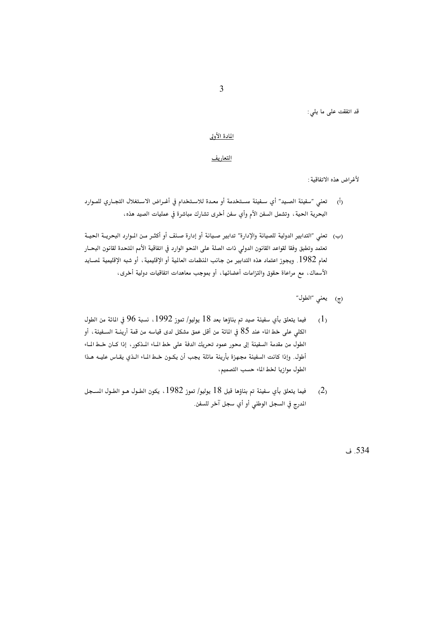$\overline{3}$ 

قد اتفقت على ما يلي:

## <u>المادة الأولى</u>

## التعاريف

لأغراض هذه الاتفاقية :

- تعني "سفينة الصيد" أي سفينة مستخدمة أو معدة للاستخدام في أغـراض الاستغلال التجـاري للمـوارد  $(\dot{b})$ البحرية الحية ، وتشمل السفن الأم وأي سفن أخرى تشارك مباشرة في عمليات الصيد هذه ،
- (ب) تعني "التدابير الدولية للصيانة والإدارة" تدابير صيانة أو إدارة صنف أو أكثـر مـن الـوارد البحريــة الحيــة تعتمد وتطبق وفقا لقواعد القانون الدولي ذات الصلة على النحو الوارد في اتفاقية الأمم التحدة لقانون البحـار لعام 1982. ويجوز اعتماد هذه التدابير من جانب المظمات العالية أو الإقليمية ، أو شبه الإقليمية لمسايد الأسماك، مع مراعاة حقوق والتزامات أعضائها، أو بموجب معاهدات اتفاقيات دولية أخرى،
	- (ج) يعني "الطول"
- فيما يتعلق بأي سفينة صيد تم بناؤها بعد 18 يوليو/ تموز 1992، نسبة 96 في المائة من الطول  $(1)$ الكلي على خط الماء عند 85 في المائة من أقل عمق مشكل لدى قياسه من قمة أرينــة السـفينة ، أو الطول من مقدمة السفينة إلى محور عمود تحريك الدفة على خط الماء المذكور، إذا كـان خـط المـاء أطول. وإذا كانت السفينة مجهزة بأرينة مائلة يجب أن يكـون خـط المـاء الـذي يقـاس عليــه هـذا الطول موازيا لخط الماء حسب التصميم،
- فيما يتعلق بأي سفينة تم بناؤها قبل 18 يوليو/ تموز 1982 ، يكون الطـول هـو الطـول المسجل  $(2)$ المدرج في السجل الوطني أو أي سجل آخر للسفن.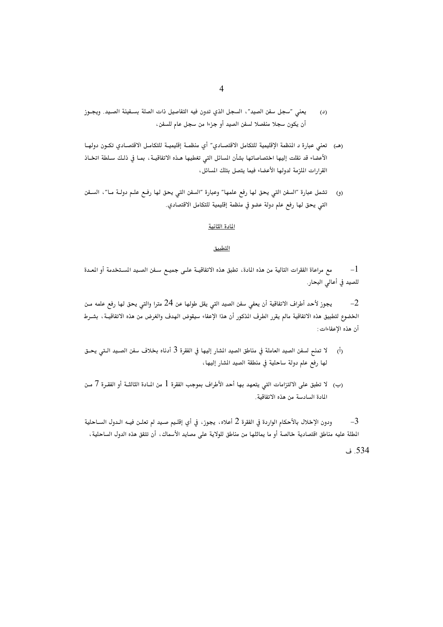- يعني "سجل سفن الصيد"، السجل الذي تدون فيه التفاصيل ذات الصلة بسـفينة الصـيد. ويجـوز  $\epsilon$ (د) أن يكون سجلا منفصلا لسفن الصيد أو جزءا من سجل عام للسفن،
- (هـ) تعني عبارة د المنظمة الإقليمية للتكامل الاقتصـادي" أي منظمـة إقليميـة للتكامـل الاقتصـادي تكـون دولهـا الأعضاء قد نقلت إليها اختصاصاتها بشأن المسائل التي تغطيها هـذه الاتفاقيــة ، بمــا في ذلـك سـلطة اتخــاذ القرارات الملزمة لدولها الأعضاء فيما يتصل بتلك المسائل،
- تشمل عبارة "السفن التي يحق لها رفع علمها" وعبارة "السفن التي يحق لها رفـع علـم دولـة مـا"، السـفن  $\epsilon$ التي يحق لها رفع علم دولة عضو في منظمة إقليمية للتكامل الاقتصادي.

## المادة الثانية

#### التطبيق

مع مراعاة الفقرات التالية من هذه المادة، تطبق هذه الاتفاقيــة علــى جميــع سـفن الصـيد المستخدمة أو المـدة  $-1$ للصيد فى أعالى البحار.

يجوز لأحد أطراف الاتفاقية أن يعفي سفن الصيد التي يقل طولها عن 24 مترا والتي يحق لها رفع علمه مـن  $-2$ الخضوع لتطبيق هذه الاتفاقية مالم يقرر الطرف المذكور أن هذا الإعفاء سيقوض الهدف والغرض من هذه الاتفاقيــة ، بشـرط أن هذه الاعفاءات :

- لا تمنح لسفن الصيد العاملة في مناطق الصيد الشار إليها في الفقرة 3 أدناه بخلاف سفن الصيد الـتي يحـق  $(\mathfrak{h})$ لها رفع علم دولة ساحلية في منطقة الصيد الشار إليها،
- (ب) لا تطبق على الالتزامات التي يتعهد بها أحد الأطراف بموجب الفقرة 1 من المادة الثالثـة أو الفقـرة 7 مـن المادة السادسة من هذه الاتفاقية.

 $-3$ ودون الإخلال بالأحكام الواردة في الفقرة 2 أعلاه، يجوز، في أي إقليم صيد لم تعلـن فيـه الـدول الســاحلية المطلة عليه مناطق اقتصادية خالصة أو ما يماثلها من مناطق للولاية على مصايد الأسماك، أن تتفق هذه الدول الساحلية،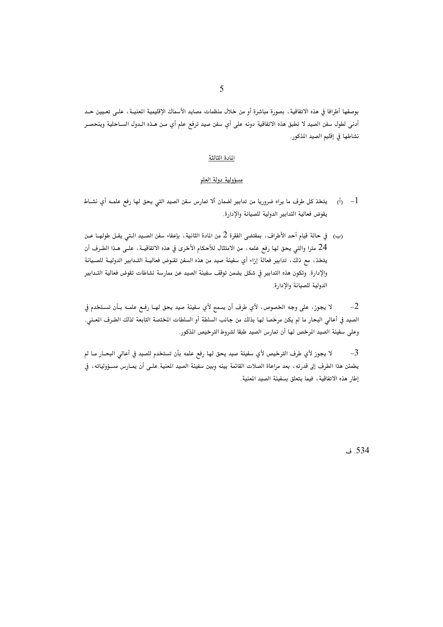بوصفها أطرافا في هذه الاتفاقية ، بصورة مباشرة أو من خلال منظمات مصايد الأسماك الإقليمية المغيــة ، علــي تعـيين حــد أدنى لطول سفن الصيد لا تطبق هذه الاتفاقية دونه على أي سفن صيد ترفع علم أي مـن هـذه الـدول السـاحلية وينحصـر نشاطها في إقليم الصيد الذكور.

## المادة الثالثة

## مسؤولية دولة العلم

- يقوض فعالية التدابير الدولية للصيانة والإدارة.
- (ب) في حالة قيام أحد الأطراف، بمقتضى الفقرة 2 من المادة الثانية، بإعفاء سفن الصيد الـتي يقـل طولهـا عـن 24 مترا والتي يحق لها رفع علمه ، من الامتثال للأحكام الأخرى في هذه الاتفاقيــة ، علــى هـذا الطـرف أن يتخذ، مع ذلك، تدابير فعالة إزاء أي سفينة صيد من هذه السفن تقـوض فعاليــة التـدابير الدوليــة للصـيانة والإدارة. وتكون هذه التدابير في شكل يضمن توقف سفينة الصيد عن ممارسة نشاطات تقوض فعالية التـدابير الدولية للصيانة والإدارة.

لا يجوز، على وجه الخصوص، لأي طرف أن يسمح لأي سفينة صيد يحق لهــا رفـع علمـه بــأن تسـتخدم في  $-2$ الصيد في أعالي البحار ما لم يكن مرخصا لها بذلك من جانب السلطة أو السلطات المختصة التابعة لذلك الطرف المعنى. وعلى سفينة الصيد المرخص لها أن تمارس الصيد طبقا لشروط الترخيص المذكور.

لا يجوز لأي طرف الترخيص لأي سفينة صيد يحق لها رفع علمه بأن تستخدم للصيد في أعالي البحــار مــا لم  $-3$ يطمئن هذا الطرف إلى قدرته ، بعد مراعاة الصلات القائمة بينه وبين سفينة الصيد المنية علـى أن يمــارس مسـؤولياته ، في إطار هذه الاتفاقية ، فيما يتعلق بسفينة الصيد المعنية.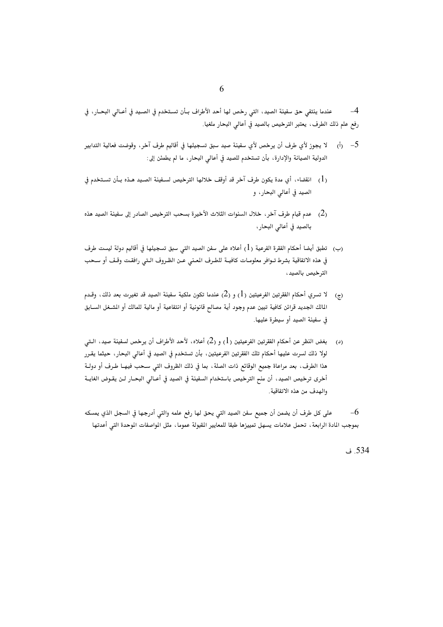عندما ينتفي حق سفينة الصيد، التي رخص لها أحد الأطراف بـأن تستخدم في الصـيد في أعـالي البحـار، في  $-4$ رفع علم ذلك الطرف، يعتبر الترخيص بالصيد في أعالي البحار ملغيا.

- لا يجوز لأى طرف أن يرخص لأي سفينة صيد سبق تسجيلها في أقاليم طرف آخر، وقوضت فعالية التدابير  $(i) -5$ الدولية الصيانة والإدارة، بأن تستخدم للصيد في أعالي البحار، ما لم يطمئن إلى:
- القضاء، أي مدة يكون طرف آخر قد أوقف خلالها الترخيص لسفينة الصيد هـذه بـأن تستخدم في )  $(1)$ الصيد في أعالى البحار، و
- عدم قيام طرف آخر ، خلال السنوات الثلاث الأخيرة بسحب الترخيص الصادر إلى سفينة الصيد هذه  $(2)$ بالصيد في أعالى البحار،
- (ب) تطبق أيضا أحكام الفقرة الفرعية (1) أعلاه على سفن الصيد التي سبق تسجيلها في أقاليم دولة ليست طرف في هذه الاتفاقية بشرط تـوافر معلومـات كافيــة للطـرف المعنى عـن الظـروف الـتي رافقـت وقـف أو سـحب الترخيص بالصيد ،
- ج) لا تسري أحكام الفقرتين الفرعيتين (1) و (2) عندما تكون ملكية سفينة الصيد قد تغيرت بعد ذلك، وقـدم ( المالك الجديد قرائن كافية تبين عدم وجود أية مصالح قانونية أو انتفاعية أو مالية للمالك أو الشـغل السـابق في سفينة الصيد أو سيطرة عليها.
- (د) بغض النظر عن أحكام الفقرتين الفرعيتين (1) و (2) أعلاه، لأحد الأطراف أن يرخص لسفينة صيد، الـتي لولا ذلك لسرت عليها أحكام تلك الفقرتين الفرعيتين، بأن تستخدم في الصيد في أعالي البحار، حيثما يقـرر هذا الطرف، بعد مراعاة جميع الوقائع ذات الصلة، بما في ذلك الظروف التي سحب فيهـا طـرف أو دولـة أخرى ترخيص الصيد، أن منح الترخيص باستخدام السفينة في الصيد في أعـالي البحــار لـن يقـوض الغايــة والهدف من هذه الاتفاقية.

 $-6$ على كل طرف أن يضمن أن جميع سفن الصيد التي يحق لها رفع علمه والتي أدرجها في السجل الذي يمسكه بموجب المادة الرابعة ، تحمل علامات يسهل تمييزها طبقا للمعايير المقبولة عموما ، مثل المواصفات الموحدة التي أعدتها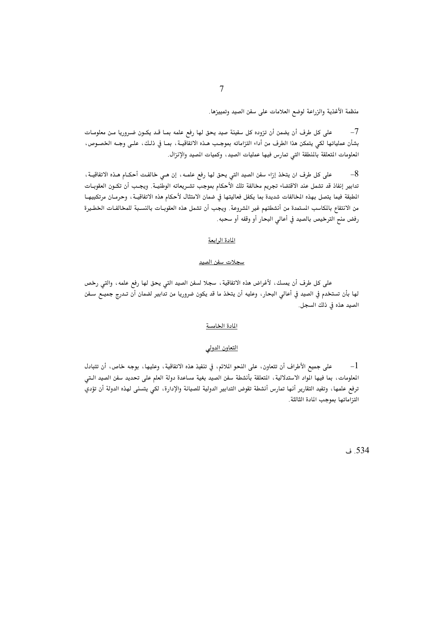$\overline{7}$ 

منظمة الأغذية والزراعة لوضع العلامات على سفن الصيد وتمييزها.

على كل طرف أن يضمن أن تزوده كل سفينة صيد يحق لها رفع علمه بمـا قـد يكـون ضـروريا مـن معلومـات  $-7$ بشأن عملياتها لكي يتمكن هذا الطرف من أداء التزاماته بموجب هـذه الاتفاقيــة ، بمـا في ذلـك ، علـى وجــه الخصـوص ، المعلومات المتعلقة بالمنطقة التى تمارس فيها عمليات الصيد، وكميات المصيد والإنزال.

 $-8$ على كل طرف ان يتخذ إزاء سفن الصيد التي يحق لها رفع علمـه ، إن هـي خالفت أحكـام هـذه الاتفاقيــة ، تدابير إنفاذ قد تشمل عند الاقتضاء تجريم مخالفة تلك الأحكام بموجب تشـريعاته الوطنيــة. ويجـب أن تكـون العقوبــات المطبقة فيما يتصل بهذه الخالفات شديدة بما يكفل فعاليتها في ضمان الامتثال لأحكام هذه الاتفاقيــة ، وحرمـان مرتكبيهــا من الانتفاع بالكاسب الستمدة من أنشطتهم غير الشروعة. ويجب أن تشمل هذه العقوبـات بالنسـبة للمخالفـات الخطـيرة رفض منح الترخيص بالصيد في أعالى البحار أو وقفه أو سحبه.

## للادة الرابعة

## <u>سجلات سفن الصيد</u>

على كل طرف أن يمسك، لأغراض هذه الاتفاقية ، سجلا لسفن الصيد التي يحق لها رفع علمه ، والتي رخص لها بأن تستخدم في الصيد في أعالي البحار ، وعليه أن يتخذ ما قد يكون ضروريا من تدابير لضمان أن تـدرج جميـع سـفن الصيد هذه في ذلك السجل.

## المادة الخامسة

## التعاون الدولي

على جميع الأطراف أن تتعاون، على النحو الملائم، في تنفيذ هذه الاتفاقية، وعليها، بوجه خاص، أن تتبادل  $-1$ الملومات، بما فيها المواد الاستدلالية، التعلقة بأنشطة سفن الصيد بغية مساعدة دولة العلم على تحديد سفن الصيد الـتى ترفع علمها، وتفيد التقارير أنها تمارس أنشطة تقوض التدابير الدولية للصيانة والإدارة، لكي يتسنى لهذه الدولة أن تؤدي التزاماتها بموجب المادة الثالثة.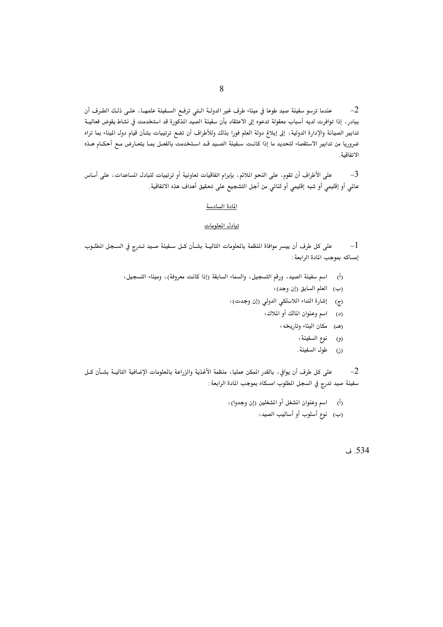$-2$ عندما ترسو سفينة صيد طوعا في ميناء طرف غير الدولـة الـتي ترفـع السـفينة علمهـا، علـى ذلـك الطـرف أن يبادر ، إذا توافرت لديه أسباب معقولة تدعوه إلى الاعتقاد بأن سفينة الصيد الذكورة قد استخدمت في نشاط يقوض فعاليـة تدابير الصيانة والإدارة الدولية، إلى إبلاغ دولة العلم فورا بذلك وللأطراف أن تضع ترتيبات بشأن قيام دول الميناء بما تراه ضروريا من تدابير الاستقصاء لتحديد ما إذا كانـت سـفينة الصـيد قـد اسـتخدمت بالفعـل بمـا يتعـارض مـع أحكـام هـذه الاتفاقية

على الأطراف أن تقوم، على النحو الملائم، بإبرام اتفاقيات تعاونية أو ترتيبات لتبادل المساعدات، على أساس  $-3$ عالمي أو إقليمي أو شبه إقليمي أو ثنائي من أجل التشجيع على تحقيق أهداف هذه الاتفاقية.

## المادة السادسة

#### تبادل المعلومات

على كل طرف أن ييسر موافاة المنظمة بالملومات التاليــة بشـأن كــل سـفينة صـيد تـدرج في السـجل المطلـوب  $-1$ إمساكه بموجب المادة الرابعة:

- اسم سفينة الصيد، ورقم التسجيل، والسماء السابقة (إذا كانت معروفة)، وميناء التسجيل؛ (أ)
	- (ب) العلم السابق (إن وجد)؛
	- (ج) إشارة النداء اللاسلكي الدولي (إن وجدت) ؛
		- (د) أسم وعنوان المالك أو الملاك؛
			- (هـ) مكان البناء وتاريخه؛
				- (و) نوع السفينة؛
				- (ز) طول السفينة.

على كل طرف أن يوافي ، بالقدر المكن عمليا ، منظمة الأغذية والزراعة بالملومات الإضافية التاليــة بشـأن كـل  $-2$ سفينة صيد تدرج في السجل المطلوب امسكاه بموجب المادة الرابعة :

- (أ) أسم وعنوان الشغل أو الشغلين (إن وجدوا)؛
	- (ب) نوع أسلوب أو أساليب الصيد؛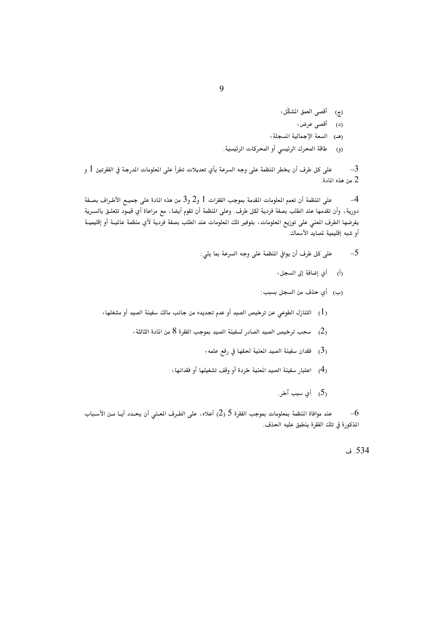- (ج) أقصى العمق المشكَّل؛ (د) أقصى عرض؛
- (هـ) السعة الإجمالية المسجلة؛
- (و) طاقة المحرك الرئيسي أو المحركات الرئيسية.

على كل طرف أن يخطر المنظمة على وجه السرعة بأي تعديلات تطرأ على المعلومات الدرجة في الفقرتين 1 و  $-3$ من هذه المادة.  $2\,$ 

على المنظمة أن تعمم المعلومات المقدمة بموجب الفقرات  $1$  و $2$  و $\mathcal{E}$  من هذه المادة على جميــع الأطـراف بصــفة  $-4$ دورية ، وأن تقدمها عند الطلب بصفة فردية لكل طرف. وعلى المنظمة أن تقوم أيضا ، مع مراعاة أى قيـود تتعلـق بالسـرية يفرضها الطرف المنى على توزيع الملومات، بتوفير تلك الملومات عند الطلب بصفة فردية لأي منظمة عاليــة أو إقليميــة أو شبه إقليمية لمصايد الأسماك.

> $-5$ على كل طرف أن يوافي المنظمة على وجه السرعة بما يلي:

> > رأ) أي إضافة إلى السجل؛

(ب) أي حذف من السجل بسبب:

- التنازل الطوعي عن ترخيص الصيد أو عدم تجديده من جانب مالك سفينة الصيد أو مشغلها ؛  $1)$ 
	- سحب ترخيص الصيد الصادر لسفينة الصيد بموجب الفقرة  $8$  من المادة الثالثة ؛  $\left( 2\right)$ 
		- فقدان سفينة الصيد المعنية لحقها في رفع علمه؛  $\mathcal (3)$
		- (4) اعتبار سفينة الصيد المغنية خردة أو وقف تشغيلها أو فقدانها ؛
			- رگ أي سبب آخر . $(5)$

عند موافاة المنظمة بمعلومات بموجب الفقرة 5 (2) أعلاه، على الطـرف المعـني أن يحـدد أيــا مـن الأسـباب  $-6$ المذكورة في تلك الفقرة ينطبق عليه الحذف.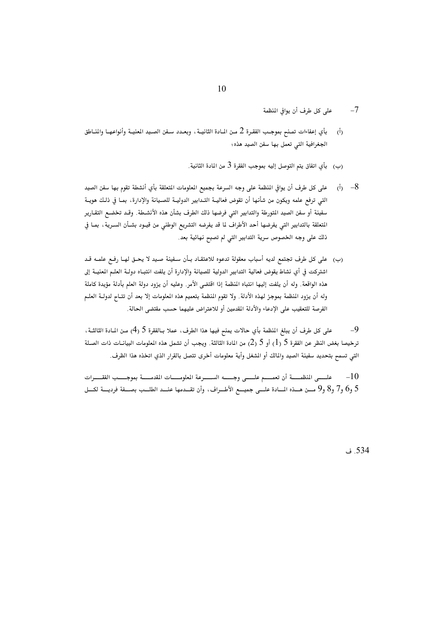- $-7$ على كل طرف أن يوافي المنظمة
- بأي إعفاءات تمنح بموجب الفقرة 2 من المادة الثانيــة ، وبعـدد سـفن الصـيد العنيــة وأنواعهـا والمـْـاطق  $\binom{1}{1}$ الجغرافية التي تعمل بها سفن الصيد هذه؛
	- (ب) بأي اتفاق يتم التوصل إليه بموجب الفقرة 3 من المادة الثانية.
- 8− (أ) على كل طرف أن يوافي المنظمة على وجه السرعة بجميع المعلومات المتعلقة بأي أنشطة تقوم بها سفن الصيد التي ترفع علمه ويكون من شأنها أن تقوض فعاليــة التـدابير الدوليــة للصـيانة والإدارة، بمـا في ذلـك هويــة سفينة أو سفن الصيد التورطة والتدابير التي فرضها ذلك الطرف بشأن هذه الأنشطة. وقـد تخضـع التقـارير المتعلقة بالتدابير التي يفرضها أحد الأطراف لما قد يفرضه التشريع الوطني من قيـود بشـأن السـريـة، بمـا في ذلك على وجه الخصوص سرية التدابير التي لم تصبح نهائية بعد.
- (ب) على كل طرف تجتمع لديه أسباب معقولة تدعوه للاعتقاد بـأن سفينة صـيد لا يحـق لهـا رفـع علمـه قـد اشتركت في أي نشاط يقوض فعالية التدابير الدولية للصيانة والإدارة أن يلفت انتبـاه دولـة العلـم المنيــة إلى هذه الواقعة. وله أن يلفت إليها انتباه المنظمة إذا اقتضى الأمر. وعليه أن يزود دولة العلم بأدلة مؤيدة كاملة وله أن يزود المنظمة بموجز لهذه الأدلة. ولا تقوم المنظمة بتعميم هذه المعلومات إلا بعد أن تتـاح لدولـة العلـم الفرصة للتعقيب على الإدعاء والأدلة المقدمين أو للاعتراض عليهما حسب مقتضى الحالة.

 $-9$ على كل طرف أن يبلغ المنظمة بأي حالات يمنح فيها هذا الطرف، عملا بـالفقرة 5 (4) مـن المـادة الثالثــة، ترخيصا بغض النظر عن الفقرة 5  $(1)$  أو 5  $(2)$  من المادة الثالثة. ويجب أن تشمل هذه الملومات البيانــات ذات الصـلة التي تسمح بتحديد سفينة الصيد والمالك أو الشغل وأية معلومات أخرى تتصل بالقرار الذي اتخذه هذا الظرف.

علســى النظمـــــة أن تعمــــم علـــــى وجـــــه الســــرعة الملومـــــات المقدمــــة بموجـــــب الفقــــرات  $-10$ 5 و6 و7 و8 و9 مــن هــذه المــادة علـــى جميـــع الأطــراف، وأن تقــدمها عنــد الطلــب بصــفة فرديـــة لكــل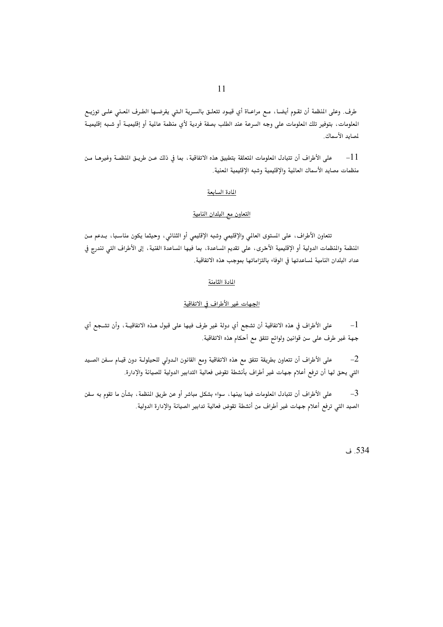طرف. وعلى المنظمة أن تقـوم أيضـا ، مـع مراعــاة أي قيـود تتعلـق بالسـرية الـتي يفرضـها الطـرف المعنى علـى توزيـع الملومات، بتوفير تلك الملومات على وجه السرعة عند الطلب بصفة فردية لأى منظمة عالية أو إقليميـة أو شـبه إقليميـة لمصايد الأسماك.

 $-11$ على الأطراف أن تتبادل الملومات التعلقة بتطبيق هذه الاتفاقية ، بما في ذلك عـن طريـق المنظمـة وغيرهـا مـن منظمات مصايد الأسماك العالية والإقليمية وشبه الإقليمية المنية.

## المادة السابعة

## <u>التعاون مع البلدان النامية</u>

تتعاون الأطراف، على المستوى العالمي والإقليمي وشبه الإقليمي أو الثنائي، وحيثما يكون مناسبا، بـدعم مـن النظمة والنظمات الدولية أو الإقليمية الأخرى، على تقديم الساعدة، بما فيها الساعدة الفنية، إلى الأطراف التى تندرج في عداد البلدان النامية لمساعدتها في الوفاء بالتزاماتها بموجب هذه الاتفاقية.

## المادة الثامنة

## <u>الجهات غير الأطراف في الاتفاقية</u>

 $-1$ على الأطراف في هذه الاتفاقية أن تشجع أي دولة غير طرف فيها على قبول هـذه الاتفاقيــة ، وأن تشـجع أي جهة غير طرف على سن قوانين ولوائح تتفق مع أحكام هذه الاتفاقية.

 $-2$ على الأطراف أن تتعاون بطريقة تتفق مع هذه الاتفاقية ومع القانون الـدولي للحيلولـة دون قيـام سـفن الصـيد التي يحق لها أن ترفع أعلام جهات غير أطراف بأنشطة تقوض فعالية التدابير الدولية للصيانة والإدارة.

على الأطراف أن تتبادل المعلومات فيما بينها ، سواء بشكل مباشر أو عن طريق المنظمة ، بشأن ما تقوم به سفن  $-3$ الصيد التي ترفع أعلام جهات غير أطراف من أنشطة تقوض فعالية تدابير الصيانة والإدارة الدولية.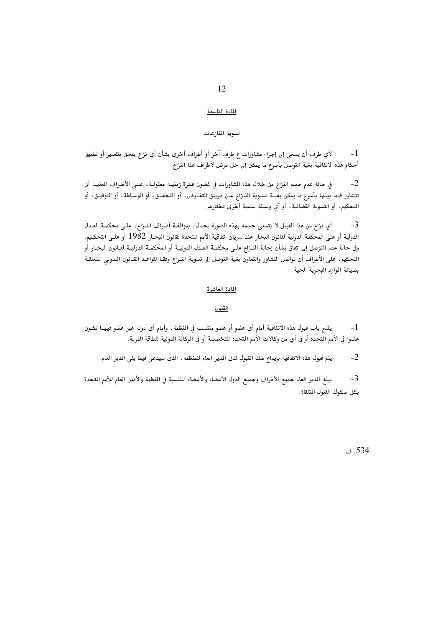## المادة التاسعة

## <u>تسوية المنازعات</u>

لأي طرف أن يسعى إلى إجراء مشاورات ع طرف آخر أو أطراف أخرى بشأن أي نزاع يتعلق بتفسير أو تطبيق  $-1$ أحكام هذه الاتفاقية بغية التوصل بأسرع ما يمكن إلى حل مرض لأطراف هذا النزاع.

في حالة عدم حسم النزاع من خلال هذه الشاورات في غضون فـترة زمنيــة معقولــة ، علـى الأطـراف المنيــة أن  $-2$ تتشاور فيما بينها بأسرع ما يمكن بغيــة تسـوية النــزاع عـن طريــق التفـاوض، أو التحقيــق، أو الوســاطة، أو التوفيــق، أو التحكيم، أو التسوية القضائية، أو أي وسيلة سلمية أخرى تختارها.

 $-3$ أي نزاع من هذا القبيل لا يتسنى حسمه بهذه الصورة يحـال، بموافقـة أطـراف النـزاع، علـى محكمـة العـدل الدولية أو على المحكمة الدولية لقانون البحار عند سريان اتفاقية الأمم المتحدة لقانون البحـار 1982 أو علـى التحكـيم. وفي حالة عدم التوصل إلى اتفاق بشأن إحالة النـزاع علـى محكمــة العـدل الدوليــة أو المحكمــة الدوليــة لقـانون البحــار أو التحكيم، على الأطراف أن تواصل التشاور والتعاون بغية التوصل إلى تسوية النـزاع وفقـا لقواعـد القـانون الـدولي المتعلقـة بصيانة الموارد البحرية الحية.

## المادة العاشرة

## القيول

يفتح باب قبول هذه الاتفاقية أمام أي عضو أو عضو منتسب في المنظمة ، وأمام أي دولة غير عضو فيهـا تكـون  $-1$ عضوا في الأمم التحدة أو في أي من وكالات الأمم التحدة التخصصة أو في الوكالة الدولية للطاقة الذرية.

 $-2$ يتم قبول هذه الاتفاقية بإيداع صك القبول لدى المدير العام للمنظمة ، الذي سيدعى فيما يلي المدير العام.

 $-3$ يبلغ الدير العام جميع الأطراف وجميع الدول الأعضاء والأعضاء النتسبة في النظمة والأمين العام للأمم التحدة بكل صكوك القبول المتلقاة.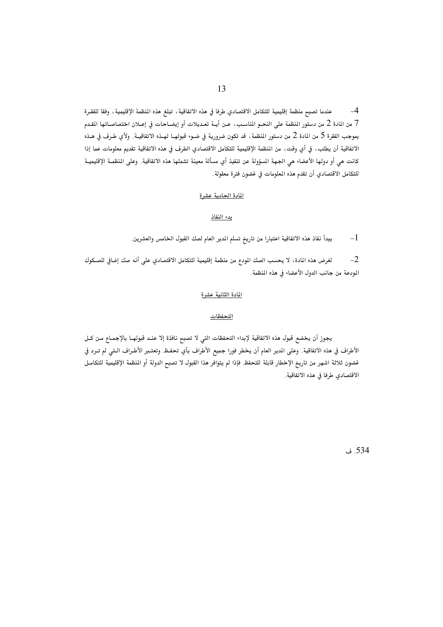$-4$ عندما تصبح منظمة إقليمية للتكامل الاقتصادي طرفا في هذه الاتفاقية ، تبلغ هذه المنظمة الإقليمية ، وفقا للفقـرة 7 من المادة 2 من دستور المنظمة على النحـو الماسـب، عـن أيــة تعـديلات أو إيضــاحات في إعــلان اختصاصــاتها المقـدم بموجب الفقرة 5 من المادة 2 من دستور المنظمة، قد تكون ضرورية في ضـوء قبولهـا لهـذه الاتفاقيــة. ولأي طـرف في هـذه الاتفاقية أن يطلب، في أي وقت، من المنظمة الإقليمية للتكامل الاقتصادي الطرف في هذه الاتفاقية تقديم معلومات عما إذا كانت هي أو دولها الأعضاء هي الجهة المسؤولة عن تنفيذ أي مسألة معينة تشملها هذه الاتفاقية. وعلى المنظمـة الإقليميـة للتكامل الاقتصادي أن تقدم هذه المعلومات في غضون فترة معقولة.

## المادة الحادية عشرة

### بدء النفاذ

يبدأ نفاذ هذه الاتفاقية اعتبارا من تاريخ تسلم المدير العام لصك القبول الخامس والعشرين.  $-1$ 

لغرض هذه المادة، لا يحسب الصك المودع من منظمة إقليمية للتكامل الاقتصادي على أنه صك إضافي للصكوك  $-2$ المودعة من جانب الدول الأعضاء في هذه المنظمة.

### المادة الثانية عشرة

#### التحفظات

يجوز أن يخضع قبول هذه الاتفاقية لإبداء التحفظات التي لا تصبح نافذة إلا عنـد قبولهـا بالإجمـاع مـن كـل الأطراف في هذه الاتفاقية. وعلى الدير العام أن يخطر فورا جميع الأطراف بأي تحفـظ. وتعتـبر الأطـراف الـتي لم تـرد في غضون ثلاثة اشهر من تاريخ الإخطار قابلة للتحفظ. فإذا لم يتوافر هذا القبول لا تصبح الدولة أو المنظمة الإقليمية للتكامـل الاقتصادي طرفا في هذه الاتفاقية.

534. ف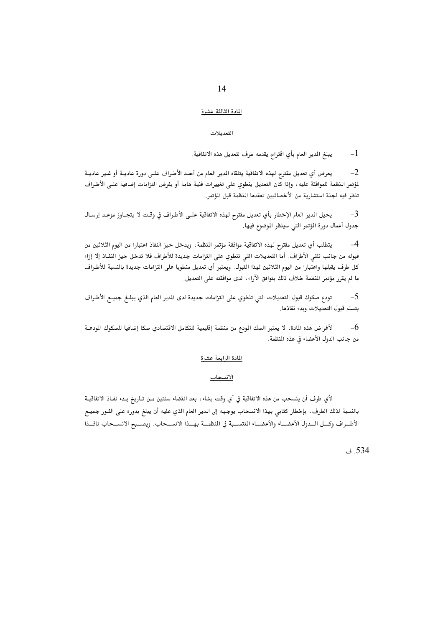### المادة الثالثة عشرة

#### التعديلات

يبلغ المدير العام بأي اقتراح يقدمه طرف لتعديل هذه الاتفاقية.  $-1$ 

يعرض أي تعديل مقترح لهذه الاتفاقية يتلقاه المدير العام من أحـد الأطـراف علـى دورة عاديــة أو غـير عاديــة  $-2$ لمؤتمر المنظمة للموافقة عليه ، وإذا كان التعديل ينطوي على تغييرات فنية هامة أو يفرض التزامات إضافية علـى الأطـراف تنظر فيه لجنة استشارية من الأخصائيين تعقدها المنظمة قبل المؤتمر.

 $-3$ يحيل المدير العام الإخطار بأي تعديل مقترح لهذه الاتفاقية علـى الأطـراف في وقـت لا يتجـاوز موعـد إرسـال جدول أعمال دورة المؤتمر التي سينظر الموضوع فيها.

 $-4$ يتطلب أي تعديل مقترح لهذه الاتفاقية موافقة مؤتمر المنظمة، ويدخل حيز النفاذ اعتبارا من اليوم الثلاثين من قبوله من جانب ثلثي الأطراف. أما التعديلات التي تنطوي على التزامات جديدة للأطراف فلا تدخل حيز النفـاذ إلا إزاء كل طرف يقبلها واعتبارا من اليوم الثلاثين لهذا القبول. ويعتبر أي تعديل منطويا على التزامات جديدة بالنسبة للأطـراف ما لم يقرر مؤتمر المنظمة خلاف ذلك بتوافق الآراء، لدى موافقته على التعديل.

تودع صكوك قبول التعديلات التي تنطوي على التزامات جديدة لدى المدير العام الذي يبلغ جميع الأطراف  $-5$ بتسلم قبول التعديلات وبدء نفاذها.

 $-6$ لأغراض هذه المادة، لا يعتبر الصك المودع من منظمة إقليمية للتكامل الاقتصادي صكا إضافيا للصكوك المودعـة من جانب الدول الأعضاء في هذه المنظمة.

### للادة الرابعة عشرة

### الانسحاب

لأي طرف أن ينسحب من هذه الاتفاقية في أي وقت يشاء، بعد انقضاء سنتين مـن تـاريخ بـدء نفـاذ الاتفاقيــة بالنسبة لذلك الطرف، بإخطار كتابي بهذا الانسحاب يوجهه إلى المدير العام الذي عليه أن يبلغ بدوره على الفـور جميـع الأطــراف وكـــل الــدول الأعضـــاء والأعضـــاء المنتســبة في المنظمـــة بهـــذا الانســـحاب. ويصــبح الانســـحاب نافـــذا

# 534. ف